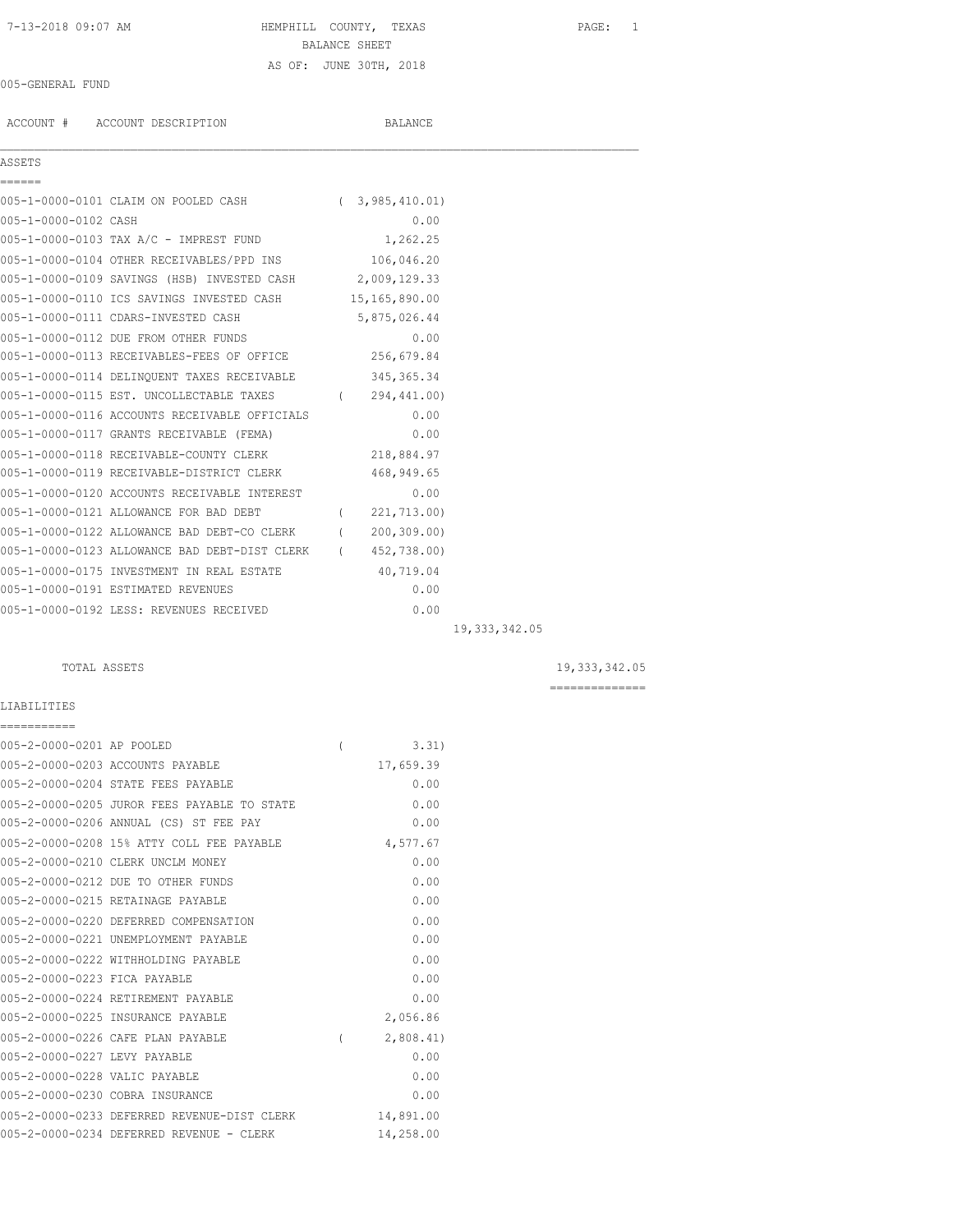# 7-13-2018 09:07 AM HEMPHILL COUNTY, TEXAS PAGE: 1 BALANCE SHEET AS OF: JUNE 30TH, 2018

 $\mathcal{L}_\mathcal{L} = \mathcal{L}_\mathcal{L}$ 

### 005-GENERAL FUND

ACCOUNT # ACCOUNT DESCRIPTION BALANCE

### ASSETS

| AOOLIO               |                                                            |            |               |                 |
|----------------------|------------------------------------------------------------|------------|---------------|-----------------|
| ======               |                                                            |            |               |                 |
|                      | 005-1-0000-0101 CLAIM ON POOLED CASH                       | $\sqrt{2}$ | 3,985,410.01  |                 |
| 005-1-0000-0102 CASH |                                                            |            | 0.00          |                 |
|                      | 005-1-0000-0103 TAX A/C - IMPREST FUND                     |            | 1,262.25      |                 |
|                      | 005-1-0000-0104 OTHER RECEIVABLES/PPD INS 106,046.20       |            |               |                 |
|                      | 005-1-0000-0109 SAVINGS (HSB) INVESTED CASH 2,009,129.33   |            |               |                 |
|                      | 005-1-0000-0110 ICS SAVINGS INVESTED CASH 15,165,890.00    |            |               |                 |
|                      | 005-1-0000-0111 CDARS-INVESTED CASH                        |            | 5,875,026.44  |                 |
|                      | 005-1-0000-0112 DUE FROM OTHER FUNDS                       |            | 0.00          |                 |
|                      | 005-1-0000-0113 RECEIVABLES-FEES OF OFFICE 256,679.84      |            |               |                 |
|                      | 005-1-0000-0114 DELINQUENT TAXES RECEIVABLE 345,365.34     |            |               |                 |
|                      | 005-1-0000-0115 EST. UNCOLLECTABLE TAXES (294,441.00)      |            |               |                 |
|                      | 005-1-0000-0116 ACCOUNTS RECEIVABLE OFFICIALS              |            | 0.00          |                 |
|                      | 005-1-0000-0117 GRANTS RECEIVABLE (FEMA)                   |            | 0.00          |                 |
|                      | 005-1-0000-0118 RECEIVABLE-COUNTY CLERK                    |            | 218,884.97    |                 |
|                      | 005-1-0000-0119 RECEIVABLE-DISTRICT CLERK                  |            | 468,949.65    |                 |
|                      | 005-1-0000-0120 ACCOUNTS RECEIVABLE INTEREST               |            | 0.00          |                 |
|                      | 005-1-0000-0121 ALLOWANCE FOR BAD DEBT                     |            | (221, 713.00) |                 |
|                      | 005-1-0000-0122 ALLOWANCE BAD DEBT-CO CLERK (200,309.00)   |            |               |                 |
|                      | 005-1-0000-0123 ALLOWANCE BAD DEBT-DIST CLERK (452,738.00) |            |               |                 |
|                      | 005-1-0000-0175 INVESTMENT IN REAL ESTATE                  |            | 40,719.04     |                 |
|                      | 005-1-0000-0191 ESTIMATED REVENUES                         |            | 0.00          |                 |
|                      | 005-1-0000-0192 LESS: REVENUES RECEIVED                    |            | 0.00          |                 |
|                      |                                                            |            |               | 19, 333, 342.05 |

LIABILITIES

TOTAL ASSETS 19,333,342.05

==============

# =========== 005-2-0000-0201 AP POOLED ( 3.31) 005-2-0000-0203 ACCOUNTS PAYABLE 17,659.39 005-2-0000-0204 STATE FEES PAYABLE 0.00 005-2-0000-0205 JUROR FEES PAYABLE TO STATE 0.00 005-2-0000-0206 ANNUAL (CS) ST FEE PAY 0.00 005-2-0000-0208 15% ATTY COLL FEE PAYABLE 4,577.67 005-2-0000-0210 CLERK UNCLM MONEY 0.00 005-2-0000-0212 DUE TO OTHER FUNDS 0.00 005-2-0000-0215 RETAINAGE PAYABLE 0.00 005-2-0000-0220 DEFERRED COMPENSATION 0.00 005-2-0000-0221 UNEMPLOYMENT PAYABLE 0.00 005-2-0000-0222 WITHHOLDING PAYABLE 0.00 005-2-0000-0223 FICA PAYABLE 0.00 005-2-0000-0224 RETIREMENT PAYABLE 0.00 005-2-0000-0225 INSURANCE PAYABLE 2,056.86 005-2-0000-0226 CAFE PLAN PAYABLE ( 2,808.41) 005-2-0000-0227 LEVY PAYABLE 0.00 005-2-0000-0228 VALIC PAYABLE 0.00 005-2-0000-0230 COBRA INSURANCE 0.00 005-2-0000-0233 DEFERRED REVENUE-DIST CLERK 14,891.00<br>005-2-0000-0233 DEFERRED REVENUE-DIST CLERK 14,891.00 005-2-0000-0234 DEFERRED REVENUE - CLERK 14,258.00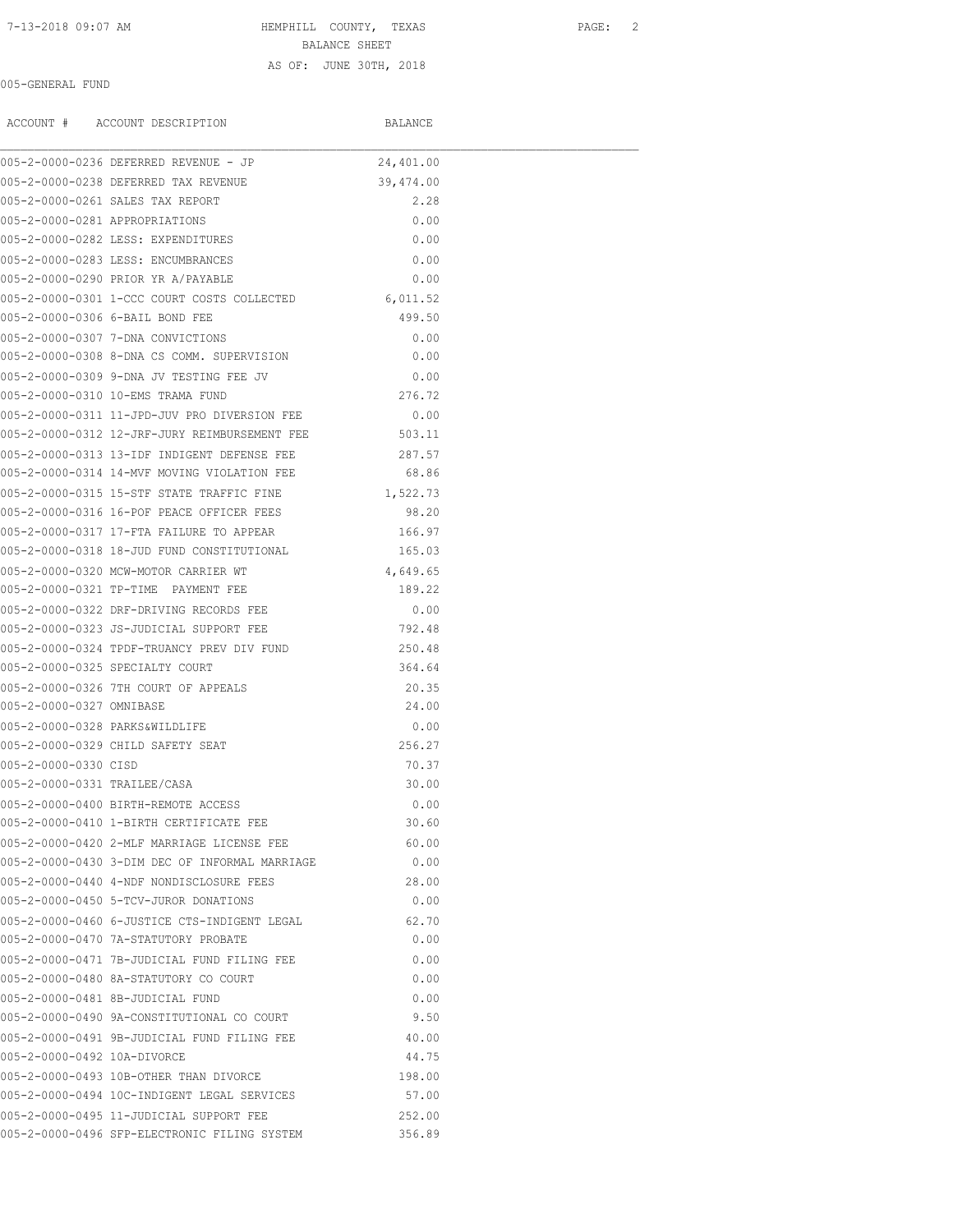7-13-2018 09:07 AM HEMPHILL COUNTY, TEXAS PAGE: 2

BALANCE SHEET

### AS OF: JUNE 30TH, 2018

### 005-GENERAL FUND

|                                | ACCOUNT # ACCOUNT DESCRIPTION                        | BALANCE   |  |
|--------------------------------|------------------------------------------------------|-----------|--|
|                                | 005-2-0000-0236 DEFERRED REVENUE - JP                | 24,401.00 |  |
|                                | 005-2-0000-0238 DEFERRED TAX REVENUE                 | 39,474.00 |  |
|                                | 005-2-0000-0261 SALES TAX REPORT                     | 2.28      |  |
| 005-2-0000-0281 APPROPRIATIONS |                                                      | 0.00      |  |
|                                | 005-2-0000-0282 LESS: EXPENDITURES                   | 0.00      |  |
|                                | 005-2-0000-0283 LESS: ENCUMBRANCES                   | 0.00      |  |
|                                | 005-2-0000-0290 PRIOR YR A/PAYABLE                   | 0.00      |  |
|                                | 005-2-0000-0301 1-CCC COURT COSTS COLLECTED          | 6,011.52  |  |
|                                | 005-2-0000-0306 6-BAIL BOND FEE                      | 499.50    |  |
|                                | 005-2-0000-0307 7-DNA CONVICTIONS                    | 0.00      |  |
|                                | 005-2-0000-0308 8-DNA CS COMM. SUPERVISION           | 0.00      |  |
|                                | 005-2-0000-0309 9-DNA JV TESTING FEE JV              | 0.00      |  |
|                                | 005-2-0000-0310 10-EMS TRAMA FUND                    | 276.72    |  |
|                                | 005-2-0000-0311 11-JPD-JUV PRO DIVERSION FEE         | 0.00      |  |
|                                | 005-2-0000-0312 12-JRF-JURY REIMBURSEMENT FEE 503.11 |           |  |
|                                | 005-2-0000-0313 13-IDF INDIGENT DEFENSE FEE 287.57   |           |  |
|                                | 005-2-0000-0314 14-MVF MOVING VIOLATION FEE          | 68.86     |  |
|                                | 005-2-0000-0315 15-STF STATE TRAFFIC FINE            | 1,522.73  |  |
|                                | 005-2-0000-0316 16-POF PEACE OFFICER FEES            | 98.20     |  |
|                                | 005-2-0000-0317 17-FTA FAILURE TO APPEAR             | 166.97    |  |
|                                | 005-2-0000-0318 18-JUD FUND CONSTITUTIONAL           | 165.03    |  |
|                                | 005-2-0000-0320 MCW-MOTOR CARRIER WT                 | 4,649.65  |  |
|                                | 005-2-0000-0321 TP-TIME PAYMENT FEE                  | 189.22    |  |
|                                | 005-2-0000-0322 DRF-DRIVING RECORDS FEE              | 0.00      |  |
|                                | 005-2-0000-0323 JS-JUDICIAL SUPPORT FEE              | 792.48    |  |
|                                | 005-2-0000-0324 TPDF-TRUANCY PREV DIV FUND           | 250.48    |  |
|                                | 005-2-0000-0325 SPECIALTY COURT                      | 364.64    |  |
|                                | 005-2-0000-0326 7TH COURT OF APPEALS                 | 20.35     |  |
| 005-2-0000-0327 OMNIBASE       |                                                      | 24.00     |  |
|                                | 005-2-0000-0328 PARKS&WILDLIFE                       | 0.00      |  |
|                                | 005-2-0000-0329 CHILD SAFETY SEAT                    | 256.27    |  |
| 005-2-0000-0330 CISD           |                                                      | 70.37     |  |
| 005-2-0000-0331 TRAILEE/CASA   |                                                      | 30.00     |  |
|                                | 005-2-0000-0400 BIRTH-REMOTE ACCESS                  | 0.00      |  |
|                                | 005-2-0000-0410 1-BIRTH CERTIFICATE FEE              | 30.60     |  |
|                                | 005-2-0000-0420 2-MLF MARRIAGE LICENSE FEE           | 60.00     |  |
|                                | 005-2-0000-0430 3-DIM DEC OF INFORMAL MARRIAGE       | 0.00      |  |
|                                | 005-2-0000-0440 4-NDF NONDISCLOSURE FEES             | 28.00     |  |
|                                | 005-2-0000-0450 5-TCV-JUROR DONATIONS                | 0.00      |  |
|                                | 005-2-0000-0460 6-JUSTICE CTS-INDIGENT LEGAL         | 62.70     |  |
|                                | 005-2-0000-0470 7A-STATUTORY PROBATE                 | 0.00      |  |
|                                | 005-2-0000-0471 7B-JUDICIAL FUND FILING FEE          | 0.00      |  |
|                                | 005-2-0000-0480 8A-STATUTORY CO COURT                | 0.00      |  |
|                                | 005-2-0000-0481 8B-JUDICIAL FUND                     | 0.00      |  |
|                                | 005-2-0000-0490 9A-CONSTITUTIONAL CO COURT           | 9.50      |  |
|                                | 005-2-0000-0491 9B-JUDICIAL FUND FILING FEE          | 40.00     |  |
| 005-2-0000-0492 10A-DIVORCE    |                                                      | 44.75     |  |
|                                | 005-2-0000-0493 10B-OTHER THAN DIVORCE               | 198.00    |  |
|                                | 005-2-0000-0494 10C-INDIGENT LEGAL SERVICES          | 57.00     |  |
|                                |                                                      |           |  |
|                                | 005-2-0000-0495 11-JUDICIAL SUPPORT FEE              | 252.00    |  |
|                                | 005-2-0000-0496 SFP-ELECTRONIC FILING SYSTEM         | 356.89    |  |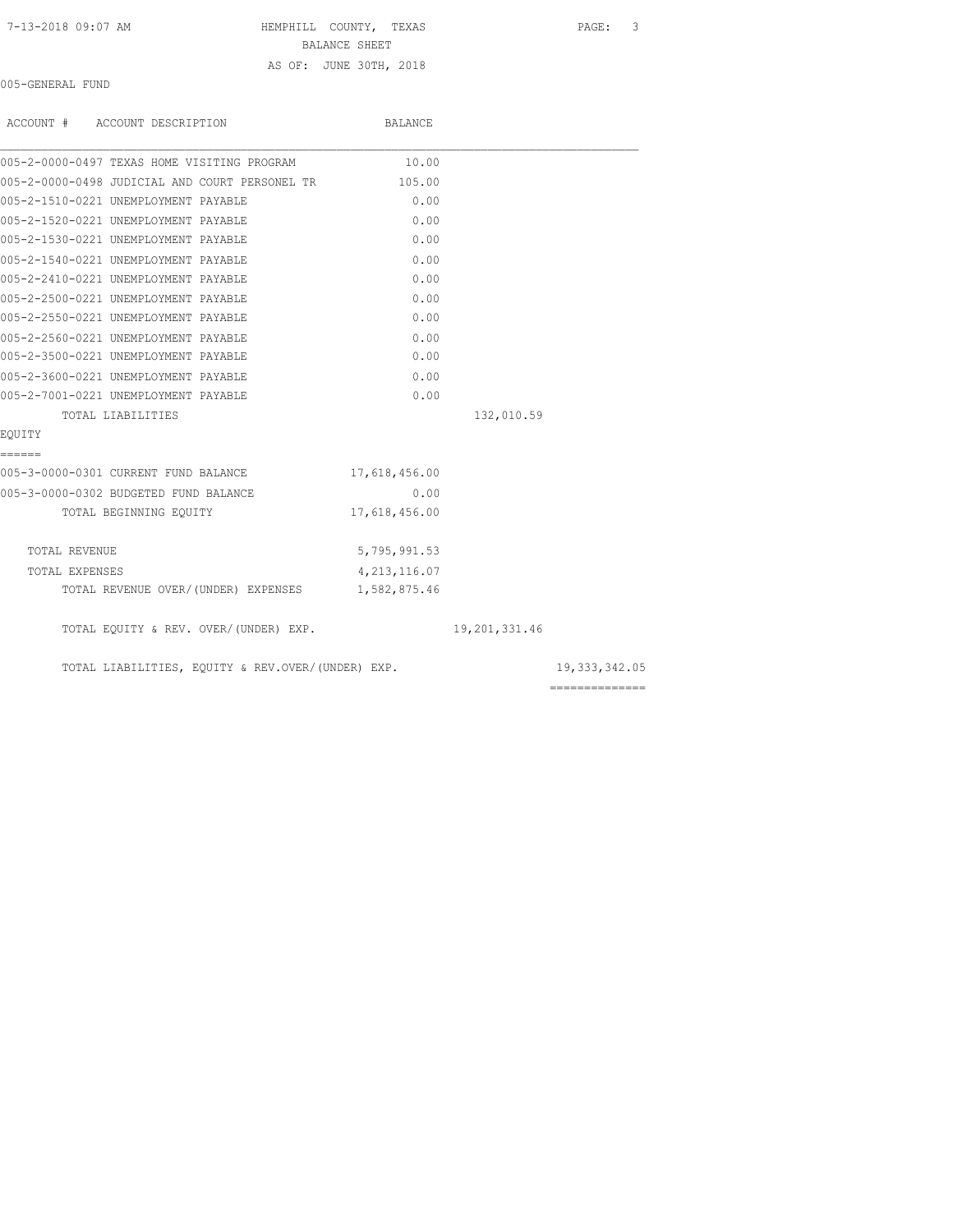HEMPHILL COUNTY, TEXAS PAGE: 3

BALANCE SHEET

## AS OF: JUNE 30TH, 2018

005-GENERAL FUND

| ACCOUNT # ACCOUNT DESCRIPTION                     | BALANCE        |               |                 |
|---------------------------------------------------|----------------|---------------|-----------------|
| 005-2-0000-0497 TEXAS HOME VISITING PROGRAM       | 10.00          |               |                 |
| 005-2-0000-0498 JUDICIAL AND COURT PERSONEL TR    | 105.00         |               |                 |
| 005-2-1510-0221 UNEMPLOYMENT PAYABLE              | 0.00           |               |                 |
| 005-2-1520-0221 UNEMPLOYMENT PAYABLE              | 0.00           |               |                 |
| 005-2-1530-0221 UNEMPLOYMENT PAYABLE              | 0.00           |               |                 |
| 005-2-1540-0221 UNEMPLOYMENT PAYABLE              | 0.00           |               |                 |
| 005-2-2410-0221 UNEMPLOYMENT PAYABLE              | 0.00           |               |                 |
| 005-2-2500-0221 UNEMPLOYMENT PAYABLE              | 0.00           |               |                 |
| 005-2-2550-0221 UNEMPLOYMENT PAYABLE              | 0.00           |               |                 |
| 005-2-2560-0221 UNEMPLOYMENT PAYABLE              | 0.00           |               |                 |
| 005-2-3500-0221 UNEMPLOYMENT PAYABLE              | 0.00           |               |                 |
| 005-2-3600-0221 UNEMPLOYMENT PAYABLE              | 0.00           |               |                 |
| 005-2-7001-0221 UNEMPLOYMENT PAYABLE              | 0.00           |               |                 |
| TOTAL LIABILITIES                                 |                | 132,010.59    |                 |
| EOUITY                                            |                |               |                 |
| ------                                            |                |               |                 |
| 005-3-0000-0301 CURRENT FUND BALANCE              | 17,618,456.00  |               |                 |
| 005-3-0000-0302 BUDGETED FUND BALANCE             | 0.00           |               |                 |
| TOTAL BEGINNING EQUITY                            | 17,618,456.00  |               |                 |
| TOTAL REVENUE                                     | 5,795,991.53   |               |                 |
| TOTAL EXPENSES                                    | 4, 213, 116.07 |               |                 |
| TOTAL REVENUE OVER/(UNDER) EXPENSES 1,582,875.46  |                |               |                 |
| TOTAL EQUITY & REV. OVER/(UNDER) EXP.             |                | 19,201,331.46 |                 |
| TOTAL LIABILITIES, EQUITY & REV.OVER/(UNDER) EXP. |                |               | 19, 333, 342.05 |

==============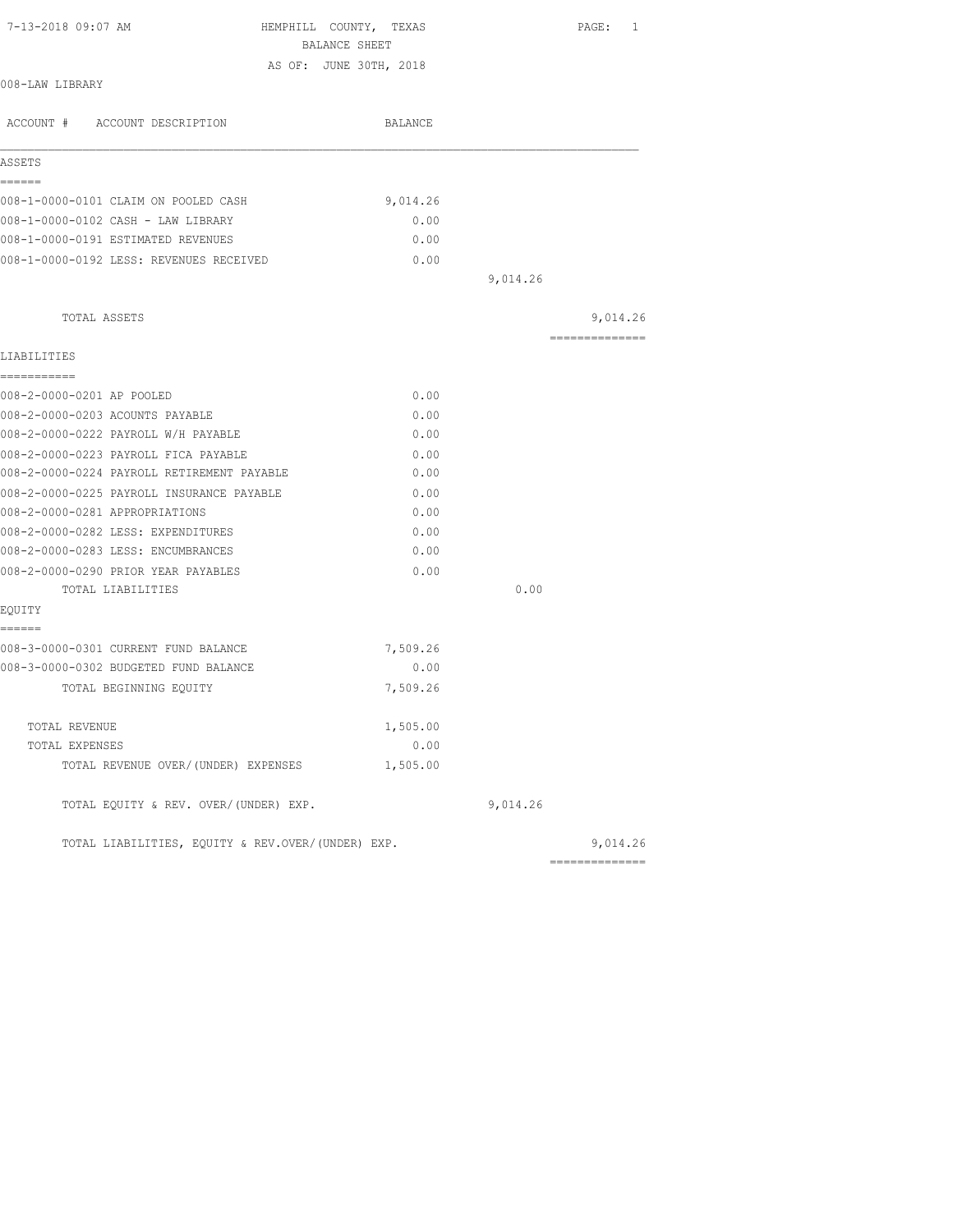| 7-13-2018 09:07 AM<br>HEMPHILL COUNTY, TEXAS<br>BALANCE SHEET |          |          | PAGE: 1        |
|---------------------------------------------------------------|----------|----------|----------------|
| AS OF: JUNE 30TH, 2018                                        |          |          |                |
| 008-LAW LIBRARY                                               |          |          |                |
| ACCOUNT # ACCOUNT DESCRIPTION                                 | BALANCE  |          |                |
| ASSETS                                                        |          |          |                |
| ------                                                        |          |          |                |
| 008-1-0000-0101 CLAIM ON POOLED CASH                          | 9,014.26 |          |                |
| 008-1-0000-0102 CASH - LAW LIBRARY                            | 0.00     |          |                |
| 008-1-0000-0191 ESTIMATED REVENUES                            | 0.00     |          |                |
| 008-1-0000-0192 LESS: REVENUES RECEIVED                       | 0.00     |          |                |
|                                                               |          | 9,014.26 |                |
| TOTAL ASSETS                                                  |          |          | 9,014.26       |
| LIABILITIES                                                   |          |          | ============== |
| ===========                                                   |          |          |                |
| 008-2-0000-0201 AP POOLED                                     | 0.00     |          |                |
| 008-2-0000-0203 ACOUNTS PAYABLE                               | 0.00     |          |                |
| 008-2-0000-0222 PAYROLL W/H PAYABLE                           | 0.00     |          |                |
| 008-2-0000-0223 PAYROLL FICA PAYABLE                          | 0.00     |          |                |
| 008-2-0000-0224 PAYROLL RETIREMENT PAYABLE                    | 0.00     |          |                |
| 008-2-0000-0225 PAYROLL INSURANCE PAYABLE                     | 0.00     |          |                |
| 008-2-0000-0281 APPROPRIATIONS                                | 0.00     |          |                |
| 008-2-0000-0282 LESS: EXPENDITURES                            | 0.00     |          |                |
| 008-2-0000-0283 LESS: ENCUMBRANCES                            | 0.00     |          |                |
| 008-2-0000-0290 PRIOR YEAR PAYABLES                           | 0.00     |          |                |
| TOTAL LIABILITIES                                             |          | 0.00     |                |
| EQUITY                                                        |          |          |                |
| ------<br>008-3-0000-0301 CURRENT FUND BALANCE                | 7,509.26 |          |                |
| 008-3-0000-0302 BUDGETED FUND BALANCE                         | 0.00     |          |                |
| TOTAL BEGINNING EQUITY                                        | 7,509.26 |          |                |
|                                                               |          |          |                |
| TOTAL REVENUE                                                 | 1,505.00 |          |                |
| TOTAL EXPENSES                                                | 0.00     |          |                |
| TOTAL REVENUE OVER/(UNDER) EXPENSES                           | 1,505.00 |          |                |
| TOTAL EQUITY & REV. OVER/(UNDER) EXP.                         |          | 9,014.26 |                |
| TOTAL LIABILITIES, EQUITY & REV.OVER/(UNDER) EXP.             |          |          | 9,014.26       |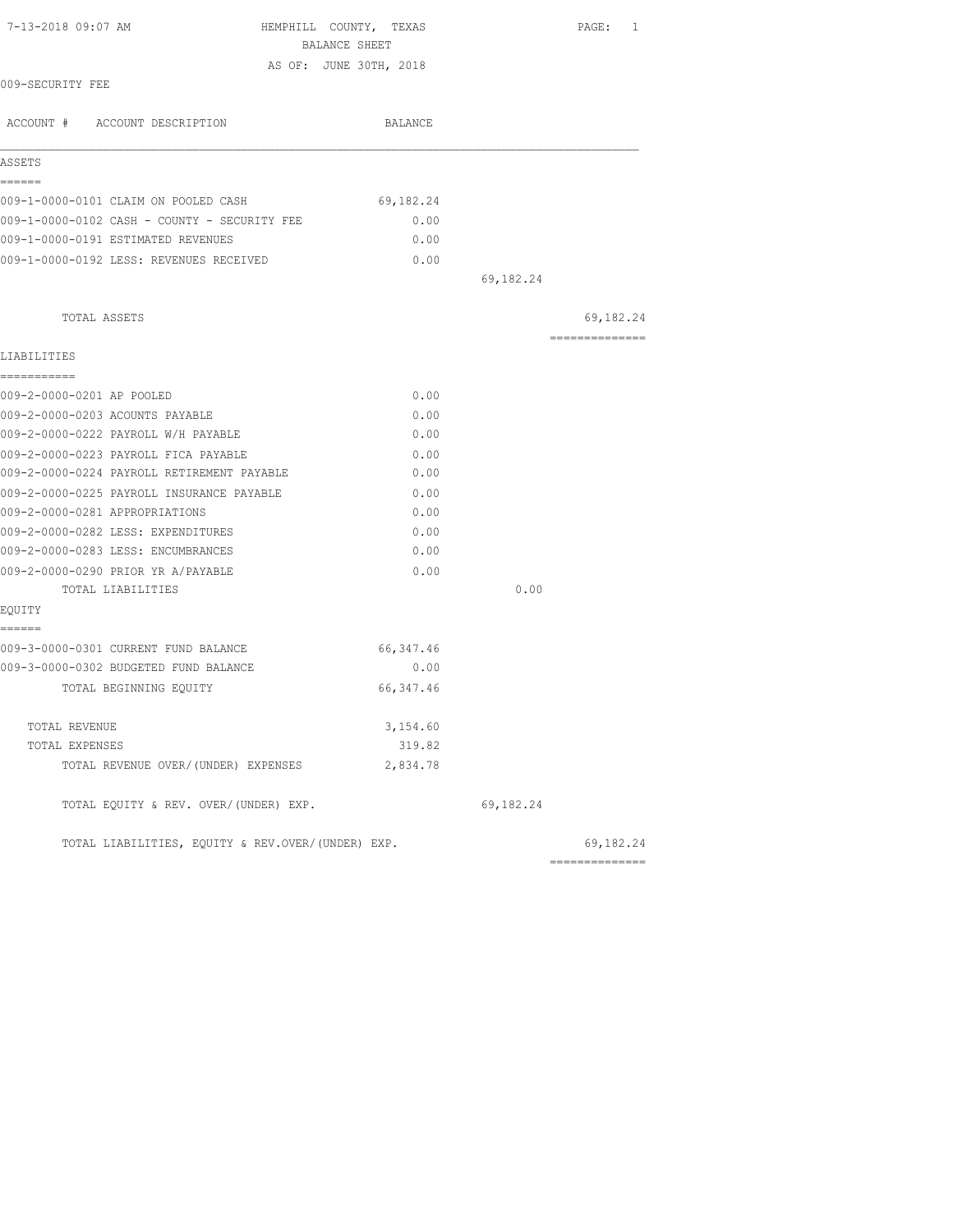| 7-13-2018 09:07 AM                                | HEMPHILL COUNTY, TEXAS                  |           | PAGE: 1                     |
|---------------------------------------------------|-----------------------------------------|-----------|-----------------------------|
|                                                   | BALANCE SHEET<br>AS OF: JUNE 30TH, 2018 |           |                             |
| 009-SECURITY FEE                                  |                                         |           |                             |
| ACCOUNT # ACCOUNT DESCRIPTION                     | BALANCE                                 |           |                             |
| ASSETS                                            |                                         |           |                             |
| ======<br>009-1-0000-0101 CLAIM ON POOLED CASH    | 69,182.24                               |           |                             |
| 009-1-0000-0102 CASH - COUNTY - SECURITY FEE      | 0.00                                    |           |                             |
| 009-1-0000-0191 ESTIMATED REVENUES                | 0.00                                    |           |                             |
| 009-1-0000-0192 LESS: REVENUES RECEIVED           | 0.00                                    |           |                             |
|                                                   |                                         | 69,182.24 |                             |
| TOTAL ASSETS                                      |                                         |           | 69,182.24                   |
| LIABILITIES                                       |                                         |           | --------------              |
| ===========                                       |                                         |           |                             |
| 009-2-0000-0201 AP POOLED                         | 0.00                                    |           |                             |
| 009-2-0000-0203 ACOUNTS PAYABLE                   | 0.00                                    |           |                             |
| 009-2-0000-0222 PAYROLL W/H PAYABLE               | 0.00                                    |           |                             |
| 009-2-0000-0223 PAYROLL FICA PAYABLE              | 0.00                                    |           |                             |
| 009-2-0000-0224 PAYROLL RETIREMENT PAYABLE        | 0.00                                    |           |                             |
| 009-2-0000-0225 PAYROLL INSURANCE PAYABLE         | 0.00                                    |           |                             |
| 009-2-0000-0281 APPROPRIATIONS                    | 0.00                                    |           |                             |
| 009-2-0000-0282 LESS: EXPENDITURES                | 0.00                                    |           |                             |
| 009-2-0000-0283 LESS: ENCUMBRANCES                | 0.00                                    |           |                             |
| 009-2-0000-0290 PRIOR YR A/PAYABLE                | 0.00                                    |           |                             |
| TOTAL LIABILITIES                                 |                                         | 0.00      |                             |
| EOUITY<br>------                                  |                                         |           |                             |
| 009-3-0000-0301 CURRENT FUND BALANCE              | 66,347.46                               |           |                             |
| 009-3-0000-0302 BUDGETED FUND BALANCE             | 0.00                                    |           |                             |
| TOTAL BEGINNING EQUITY                            | 66, 347.46                              |           |                             |
| TOTAL REVENUE                                     | 3,154.60                                |           |                             |
| TOTAL EXPENSES                                    | 319.82                                  |           |                             |
| TOTAL REVENUE OVER/(UNDER) EXPENSES               | 2,834.78                                |           |                             |
| TOTAL EQUITY & REV. OVER/(UNDER) EXP.             |                                         | 69,182.24 |                             |
| TOTAL LIABILITIES, EQUITY & REV.OVER/(UNDER) EXP. |                                         |           | 69,182.24<br>-------------- |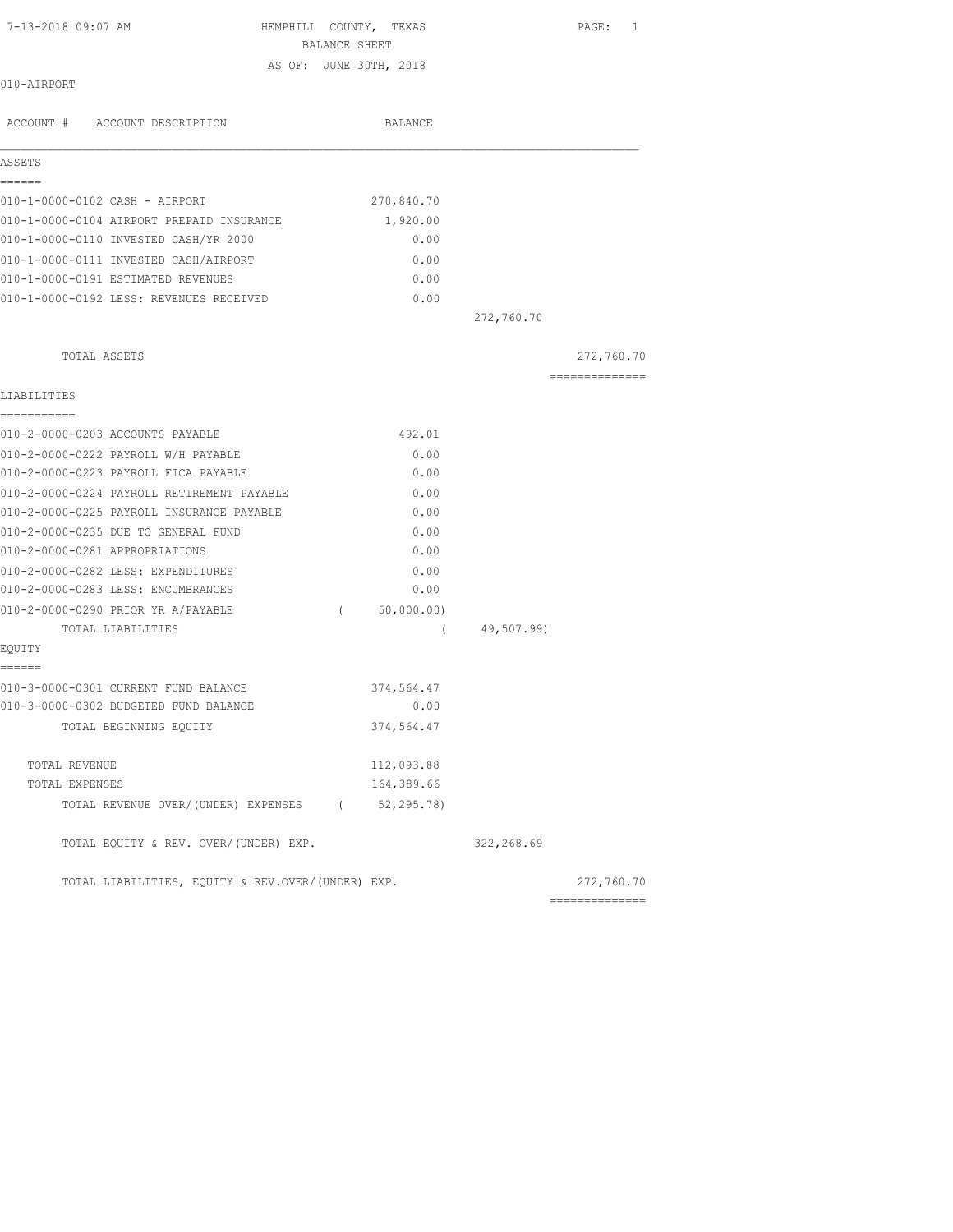| 7-13-2018 09:07 AM                                | HEMPHILL COUNTY, TEXAS |              |            | PAGE: 1                                                                                                                                                                                                                                                                                                                                                                                                                                                                                |
|---------------------------------------------------|------------------------|--------------|------------|----------------------------------------------------------------------------------------------------------------------------------------------------------------------------------------------------------------------------------------------------------------------------------------------------------------------------------------------------------------------------------------------------------------------------------------------------------------------------------------|
|                                                   | BALANCE SHEET          |              |            |                                                                                                                                                                                                                                                                                                                                                                                                                                                                                        |
| 010-AIRPORT                                       | AS OF: JUNE 30TH, 2018 |              |            |                                                                                                                                                                                                                                                                                                                                                                                                                                                                                        |
|                                                   |                        |              |            |                                                                                                                                                                                                                                                                                                                                                                                                                                                                                        |
| ACCOUNT # ACCOUNT DESCRIPTION                     |                        | BALANCE      |            |                                                                                                                                                                                                                                                                                                                                                                                                                                                                                        |
| ASSETS                                            |                        |              |            |                                                                                                                                                                                                                                                                                                                                                                                                                                                                                        |
| ------                                            |                        |              |            |                                                                                                                                                                                                                                                                                                                                                                                                                                                                                        |
| 010-1-0000-0102 CASH - AIRPORT                    |                        | 270,840.70   |            |                                                                                                                                                                                                                                                                                                                                                                                                                                                                                        |
| 010-1-0000-0104 AIRPORT PREPAID INSURANCE         |                        | 1,920.00     |            |                                                                                                                                                                                                                                                                                                                                                                                                                                                                                        |
| 010-1-0000-0110 INVESTED CASH/YR 2000             |                        | 0.00         |            |                                                                                                                                                                                                                                                                                                                                                                                                                                                                                        |
| 010-1-0000-0111 INVESTED CASH/AIRPORT             |                        | 0.00         |            |                                                                                                                                                                                                                                                                                                                                                                                                                                                                                        |
| 010-1-0000-0191 ESTIMATED REVENUES                |                        | 0.00         |            |                                                                                                                                                                                                                                                                                                                                                                                                                                                                                        |
| 010-1-0000-0192 LESS: REVENUES RECEIVED           |                        | 0.00         |            |                                                                                                                                                                                                                                                                                                                                                                                                                                                                                        |
|                                                   |                        |              | 272,760.70 |                                                                                                                                                                                                                                                                                                                                                                                                                                                                                        |
| TOTAL ASSETS                                      |                        |              |            | 272,760.70                                                                                                                                                                                                                                                                                                                                                                                                                                                                             |
| LIABILITIES                                       |                        |              |            | $\begin{array}{cccccccccccccc} \multicolumn{2}{c}{} & \multicolumn{2}{c}{} & \multicolumn{2}{c}{} & \multicolumn{2}{c}{} & \multicolumn{2}{c}{} & \multicolumn{2}{c}{} & \multicolumn{2}{c}{} & \multicolumn{2}{c}{} & \multicolumn{2}{c}{} & \multicolumn{2}{c}{} & \multicolumn{2}{c}{} & \multicolumn{2}{c}{} & \multicolumn{2}{c}{} & \multicolumn{2}{c}{} & \multicolumn{2}{c}{} & \multicolumn{2}{c}{} & \multicolumn{2}{c}{} & \multicolumn{2}{c}{} & \multicolumn{2}{c}{} & \$ |
| -----------                                       |                        |              |            |                                                                                                                                                                                                                                                                                                                                                                                                                                                                                        |
| 010-2-0000-0203 ACCOUNTS PAYABLE                  |                        | 492.01       |            |                                                                                                                                                                                                                                                                                                                                                                                                                                                                                        |
| 010-2-0000-0222 PAYROLL W/H PAYABLE               |                        | 0.00         |            |                                                                                                                                                                                                                                                                                                                                                                                                                                                                                        |
| 010-2-0000-0223 PAYROLL FICA PAYABLE              |                        | 0.00         |            |                                                                                                                                                                                                                                                                                                                                                                                                                                                                                        |
| 010-2-0000-0224 PAYROLL RETIREMENT PAYABLE        |                        | 0.00         |            |                                                                                                                                                                                                                                                                                                                                                                                                                                                                                        |
| 010-2-0000-0225 PAYROLL INSURANCE PAYABLE         |                        | 0.00         |            |                                                                                                                                                                                                                                                                                                                                                                                                                                                                                        |
| 010-2-0000-0235 DUE TO GENERAL FUND               |                        | 0.00         |            |                                                                                                                                                                                                                                                                                                                                                                                                                                                                                        |
| 010-2-0000-0281 APPROPRIATIONS                    |                        | 0.00         |            |                                                                                                                                                                                                                                                                                                                                                                                                                                                                                        |
| 010-2-0000-0282 LESS: EXPENDITURES                |                        | 0.00         |            |                                                                                                                                                                                                                                                                                                                                                                                                                                                                                        |
| 010-2-0000-0283 LESS: ENCUMBRANCES                |                        | 0.00         |            |                                                                                                                                                                                                                                                                                                                                                                                                                                                                                        |
| 010-2-0000-0290 PRIOR YR A/PAYABLE                | $\left($               | 50,000.00)   |            |                                                                                                                                                                                                                                                                                                                                                                                                                                                                                        |
| TOTAL LIABILITIES                                 |                        | $\left($     | 49,507.99) |                                                                                                                                                                                                                                                                                                                                                                                                                                                                                        |
| EQUITY                                            |                        |              |            |                                                                                                                                                                                                                                                                                                                                                                                                                                                                                        |
| ======<br>010-3-0000-0301 CURRENT FUND BALANCE    |                        | 374,564.47   |            |                                                                                                                                                                                                                                                                                                                                                                                                                                                                                        |
| 010-3-0000-0302 BUDGETED FUND BALANCE             |                        | 0.00         |            |                                                                                                                                                                                                                                                                                                                                                                                                                                                                                        |
| TOTAL BEGINNING EQUITY                            |                        | 374,564.47   |            |                                                                                                                                                                                                                                                                                                                                                                                                                                                                                        |
| TOTAL REVENUE                                     |                        | 112,093.88   |            |                                                                                                                                                                                                                                                                                                                                                                                                                                                                                        |
| TOTAL EXPENSES                                    |                        | 164,389.66   |            |                                                                                                                                                                                                                                                                                                                                                                                                                                                                                        |
| TOTAL REVENUE OVER/(UNDER) EXPENSES               |                        | (52, 295.78) |            |                                                                                                                                                                                                                                                                                                                                                                                                                                                                                        |
| TOTAL EQUITY & REV. OVER/(UNDER) EXP.             |                        |              | 322,268.69 |                                                                                                                                                                                                                                                                                                                                                                                                                                                                                        |
| TOTAL LIABILITIES, EQUITY & REV.OVER/(UNDER) EXP. |                        |              |            | 272,760.70                                                                                                                                                                                                                                                                                                                                                                                                                                                                             |

==============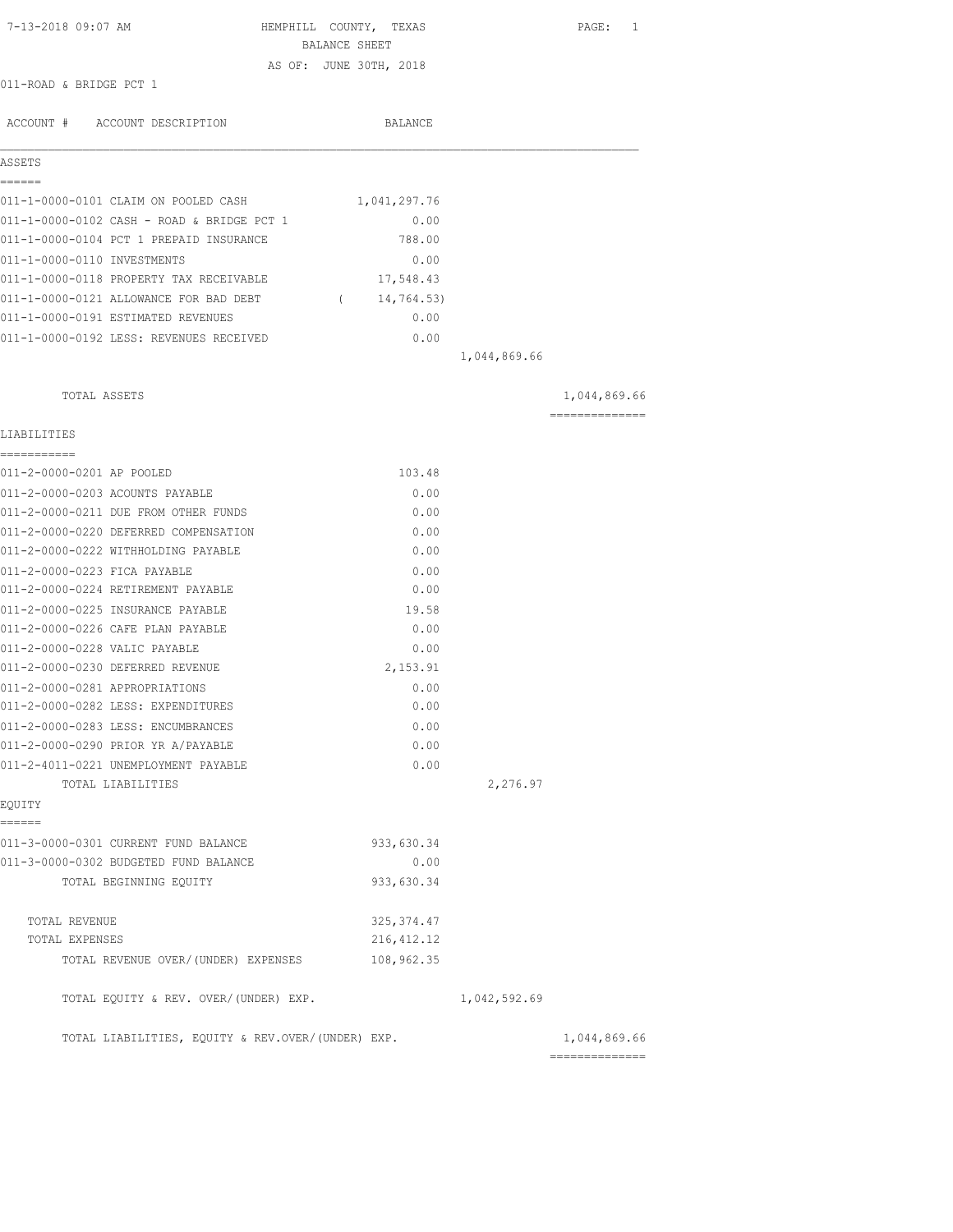| 7-13-2018 09:07 AM                                | HEMPHILL COUNTY, TEXAS<br>BALANCE SHEET |              | PAGE: 1                        |
|---------------------------------------------------|-----------------------------------------|--------------|--------------------------------|
|                                                   | AS OF: JUNE 30TH, 2018                  |              |                                |
| 011-ROAD & BRIDGE PCT 1                           |                                         |              |                                |
| ACCOUNT # ACCOUNT DESCRIPTION                     | <b>BALANCE</b>                          |              |                                |
| ASSETS                                            |                                         |              |                                |
| ======<br>011-1-0000-0101 CLAIM ON POOLED CASH    | 1,041,297.76                            |              |                                |
| 011-1-0000-0102 CASH - ROAD & BRIDGE PCT 1        | 0.00                                    |              |                                |
| 011-1-0000-0104 PCT 1 PREPAID INSURANCE           | 788.00                                  |              |                                |
| 011-1-0000-0110 INVESTMENTS                       | 0.00                                    |              |                                |
| 011-1-0000-0118 PROPERTY TAX RECEIVABLE           | 17,548.43                               |              |                                |
| 011-1-0000-0121 ALLOWANCE FOR BAD DEBT            | (14, 764.53)                            |              |                                |
| 011-1-0000-0191 ESTIMATED REVENUES                | 0.00                                    |              |                                |
| 011-1-0000-0192 LESS: REVENUES RECEIVED           | 0.00                                    |              |                                |
|                                                   |                                         | 1,044,869.66 |                                |
| TOTAL ASSETS                                      |                                         |              | 1,044,869.66                   |
| LIABILITIES                                       |                                         |              | ==============                 |
| ===========<br>011-2-0000-0201 AP POOLED          | 103.48                                  |              |                                |
| 011-2-0000-0203 ACOUNTS PAYABLE                   | 0.00                                    |              |                                |
| 011-2-0000-0211 DUE FROM OTHER FUNDS              | 0.00                                    |              |                                |
| 011-2-0000-0220 DEFERRED COMPENSATION             | 0.00                                    |              |                                |
| 011-2-0000-0222 WITHHOLDING PAYABLE               | 0.00                                    |              |                                |
| 011-2-0000-0223 FICA PAYABLE                      | 0.00                                    |              |                                |
| 011-2-0000-0224 RETIREMENT PAYABLE                | 0.00                                    |              |                                |
| 011-2-0000-0225 INSURANCE PAYABLE                 | 19.58                                   |              |                                |
| 011-2-0000-0226 CAFE PLAN PAYABLE                 | 0.00                                    |              |                                |
| 011-2-0000-0228 VALIC PAYABLE                     | 0.00                                    |              |                                |
| 011-2-0000-0230 DEFERRED REVENUE                  | 2,153.91                                |              |                                |
| 011-2-0000-0281 APPROPRIATIONS                    | 0.00                                    |              |                                |
| 011-2-0000-0282 LESS: EXPENDITURES                | 0.00                                    |              |                                |
| 011-2-0000-0283 LESS: ENCUMBRANCES                | 0.00                                    |              |                                |
| 011-2-0000-0290 PRIOR YR A/PAYABLE                | 0.00                                    |              |                                |
| 011-2-4011-0221 UNEMPLOYMENT PAYABLE              | 0.00                                    |              |                                |
| TOTAL LIABILITIES                                 |                                         | 2,276.97     |                                |
| EOUITY<br>======                                  |                                         |              |                                |
| 011-3-0000-0301 CURRENT FUND BALANCE              | 933,630.34                              |              |                                |
| 011-3-0000-0302 BUDGETED FUND BALANCE             | 0.00                                    |              |                                |
| TOTAL BEGINNING EQUITY                            | 933,630.34                              |              |                                |
| TOTAL REVENUE                                     | 325, 374.47                             |              |                                |
| TOTAL EXPENSES                                    | 216, 412.12                             |              |                                |
| TOTAL REVENUE OVER/(UNDER) EXPENSES               | 108,962.35                              |              |                                |
| TOTAL EQUITY & REV. OVER/(UNDER) EXP.             |                                         | 1,042,592.69 |                                |
| TOTAL LIABILITIES, EQUITY & REV.OVER/(UNDER) EXP. |                                         |              | 1,044,869.66<br>============== |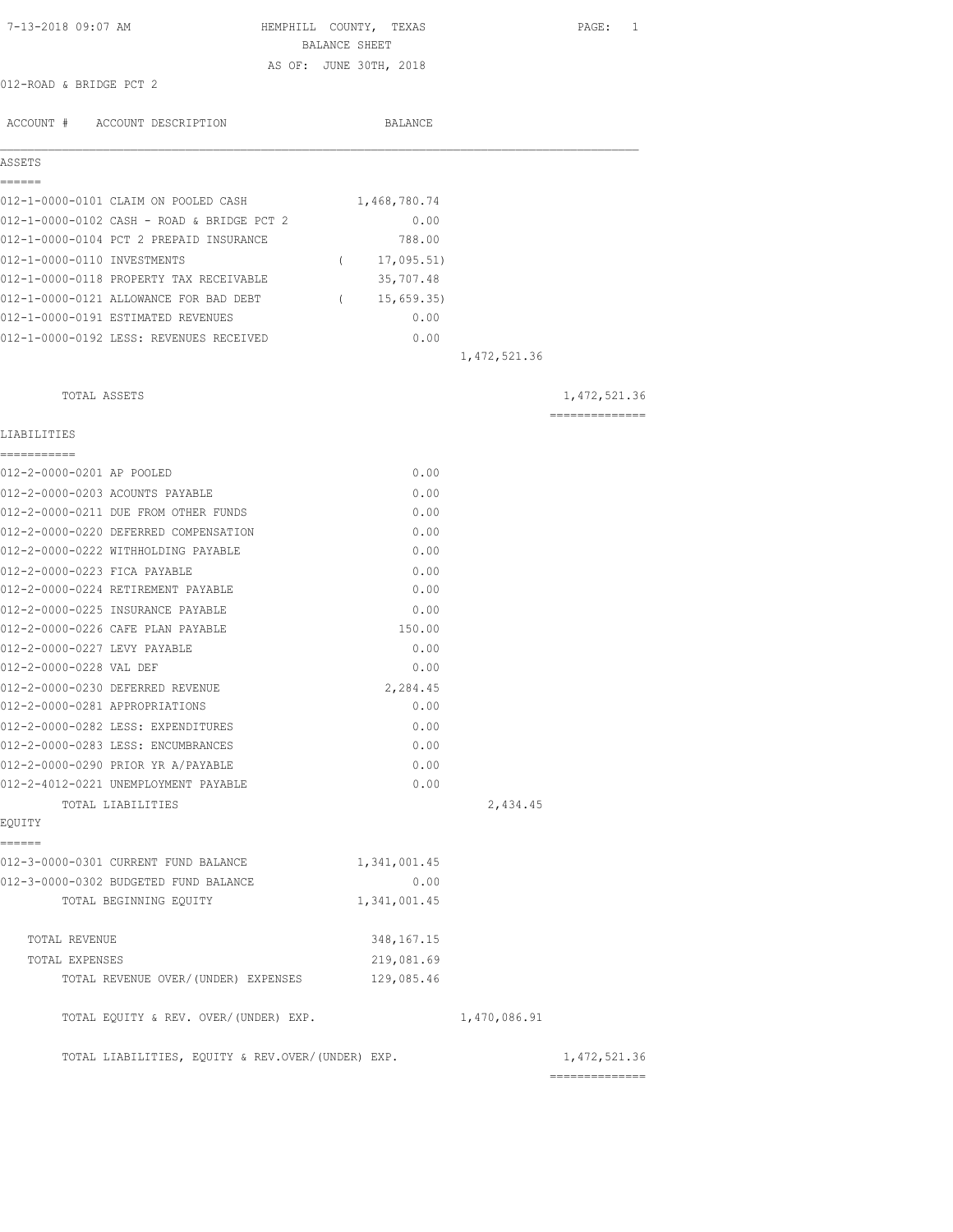| 7-13-2018 09:07 AM                                                           | HEMPHILL COUNTY, TEXAS        |                | PAGE: 1        |
|------------------------------------------------------------------------------|-------------------------------|----------------|----------------|
|                                                                              | BALANCE SHEET                 |                |                |
| 012-ROAD & BRIDGE PCT 2                                                      | AS OF: JUNE 30TH, 2018        |                |                |
|                                                                              |                               |                |                |
| ACCOUNT # ACCOUNT DESCRIPTION                                                | BALANCE                       |                |                |
| ASSETS                                                                       |                               |                |                |
| ======<br>012-1-0000-0101 CLAIM ON POOLED CASH                               | 1,468,780.74                  |                |                |
| 012-1-0000-0102 CASH - ROAD & BRIDGE PCT 2                                   | 0.00                          |                |                |
| 012-1-0000-0104 PCT 2 PREPAID INSURANCE                                      | 788.00                        |                |                |
| 012-1-0000-0110 INVESTMENTS                                                  | 17,095.51)<br>$\left($        |                |                |
| 012-1-0000-0118 PROPERTY TAX RECEIVABLE                                      | 35,707.48                     |                |                |
|                                                                              |                               |                |                |
| 012-1-0000-0121 ALLOWANCE FOR BAD DEBT<br>012-1-0000-0191 ESTIMATED REVENUES | 15,659.35<br>$\left($<br>0.00 |                |                |
|                                                                              |                               |                |                |
| 012-1-0000-0192 LESS: REVENUES RECEIVED                                      | 0.00                          |                |                |
|                                                                              |                               | 1, 472, 521.36 |                |
| TOTAL ASSETS                                                                 |                               |                | 1, 472, 521.36 |
| LIABILITIES                                                                  |                               |                | -------------- |
|                                                                              |                               |                |                |
| 012-2-0000-0201 AP POOLED                                                    | 0.00                          |                |                |
| 012-2-0000-0203 ACOUNTS PAYABLE                                              | 0.00                          |                |                |
| 012-2-0000-0211 DUE FROM OTHER FUNDS                                         | 0.00                          |                |                |
| 012-2-0000-0220 DEFERRED COMPENSATION                                        | 0.00                          |                |                |
| 012-2-0000-0222 WITHHOLDING PAYABLE                                          | 0.00                          |                |                |
| 012-2-0000-0223 FICA PAYABLE                                                 | 0.00                          |                |                |
| 012-2-0000-0224 RETIREMENT PAYABLE                                           | 0.00                          |                |                |
| 012-2-0000-0225 INSURANCE PAYABLE                                            | 0.00                          |                |                |
| 012-2-0000-0226 CAFE PLAN PAYABLE                                            | 150.00                        |                |                |
| 012-2-0000-0227 LEVY PAYABLE                                                 | 0.00                          |                |                |
| 012-2-0000-0228 VAL DEF                                                      | 0.00                          |                |                |
| 012-2-0000-0230 DEFERRED REVENUE                                             | 2,284.45                      |                |                |
| 012-2-0000-0281 APPROPRIATIONS                                               | 0.00                          |                |                |
| 012-2-0000-0282 LESS: EXPENDITURES                                           | 0.00                          |                |                |
| 012-2-0000-0283 LESS: ENCUMBRANCES                                           | 0.00                          |                |                |
| 012-2-0000-0290 PRIOR YR A/PAYABLE                                           | 0.00                          |                |                |
| 012-2-4012-0221 UNEMPLOYMENT PAYABLE                                         | 0.00                          |                |                |
| TOTAL LIABILITIES                                                            |                               | 2,434.45       |                |
| EQUITY                                                                       |                               |                |                |
| ------                                                                       |                               |                |                |
| 012-3-0000-0301 CURRENT FUND BALANCE                                         | 1,341,001.45                  |                |                |
| 012-3-0000-0302 BUDGETED FUND BALANCE                                        | 0.00                          |                |                |
| TOTAL BEGINNING EQUITY                                                       | 1,341,001.45                  |                |                |
| TOTAL REVENUE                                                                | 348, 167. 15                  |                |                |
| TOTAL EXPENSES                                                               | 219,081.69                    |                |                |
| TOTAL REVENUE OVER/(UNDER) EXPENSES                                          | 129,085.46                    |                |                |
| TOTAL EQUITY & REV. OVER/(UNDER) EXP.                                        |                               | 1,470,086.91   |                |
| TOTAL LIABILITIES, EQUITY & REV.OVER/(UNDER) EXP.                            |                               |                | 1,472,521.36   |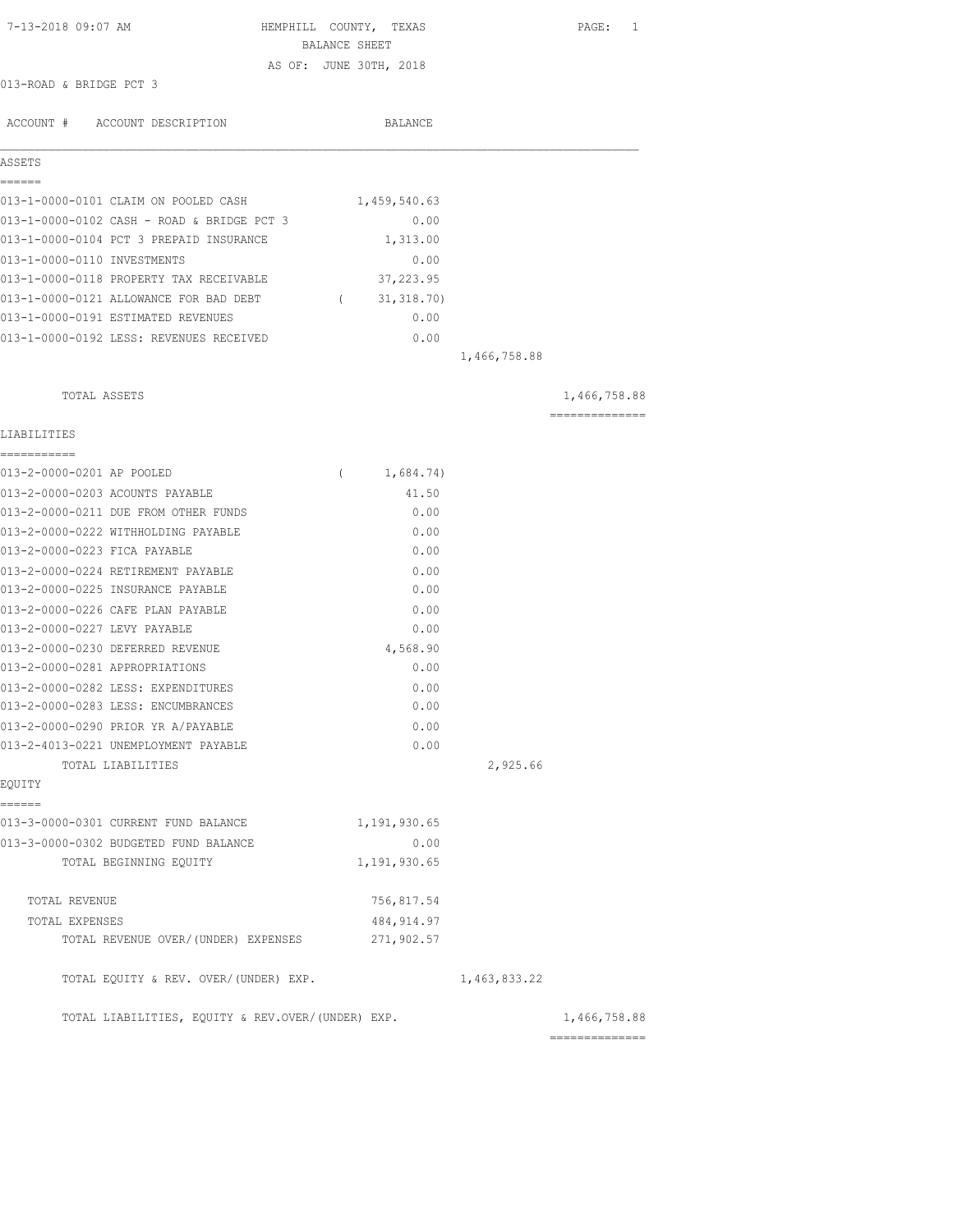| 7-13-2018 09:07 AM                                |          | HEMPHILL COUNTY, TEXAS |              | PAGE: 1        |
|---------------------------------------------------|----------|------------------------|--------------|----------------|
|                                                   |          | BALANCE SHEET          |              |                |
| 013-ROAD & BRIDGE PCT 3                           |          | AS OF: JUNE 30TH, 2018 |              |                |
|                                                   |          |                        |              |                |
| ACCOUNT # ACCOUNT DESCRIPTION                     |          | BALANCE                |              |                |
| ASSETS                                            |          |                        |              |                |
| ======<br>013-1-0000-0101 CLAIM ON POOLED CASH    |          | 1,459,540.63           |              |                |
| 013-1-0000-0102 CASH - ROAD & BRIDGE PCT 3        |          | 0.00                   |              |                |
| 013-1-0000-0104 PCT 3 PREPAID INSURANCE           |          | 1,313.00               |              |                |
| 013-1-0000-0110 INVESTMENTS                       |          | 0.00                   |              |                |
| 013-1-0000-0118 PROPERTY TAX RECEIVABLE           |          | 37,223.95              |              |                |
| 013-1-0000-0121 ALLOWANCE FOR BAD DEBT            |          | (31, 318.70)           |              |                |
| 013-1-0000-0191 ESTIMATED REVENUES                |          | 0.00                   |              |                |
| 013-1-0000-0192 LESS: REVENUES RECEIVED           |          | 0.00                   |              |                |
|                                                   |          |                        | 1,466,758.88 |                |
| TOTAL ASSETS                                      |          |                        |              | 1,466,758.88   |
|                                                   |          |                        |              | ============== |
| LIABILITIES<br>===========                        |          |                        |              |                |
| 013-2-0000-0201 AP POOLED                         | $\left($ | 1,684.74)              |              |                |
| 013-2-0000-0203 ACOUNTS PAYABLE                   |          | 41.50                  |              |                |
| 013-2-0000-0211 DUE FROM OTHER FUNDS              |          | 0.00                   |              |                |
| 013-2-0000-0222 WITHHOLDING PAYABLE               |          | 0.00                   |              |                |
| 013-2-0000-0223 FICA PAYABLE                      |          | 0.00                   |              |                |
| 013-2-0000-0224 RETIREMENT PAYABLE                |          | 0.00                   |              |                |
| 013-2-0000-0225 INSURANCE PAYABLE                 |          | 0.00                   |              |                |
| 013-2-0000-0226 CAFE PLAN PAYABLE                 |          | 0.00                   |              |                |
| 013-2-0000-0227 LEVY PAYABLE                      |          | 0.00                   |              |                |
| 013-2-0000-0230 DEFERRED REVENUE                  |          | 4,568.90               |              |                |
| 013-2-0000-0281 APPROPRIATIONS                    |          | 0.00                   |              |                |
| 013-2-0000-0282 LESS: EXPENDITURES                |          | 0.00                   |              |                |
| 013-2-0000-0283 LESS: ENCUMBRANCES                |          | 0.00                   |              |                |
| 013-2-0000-0290 PRIOR YR A/PAYABLE                |          | 0.00                   |              |                |
| 013-2-4013-0221 UNEMPLOYMENT PAYABLE              |          | 0.00                   |              |                |
| TOTAL LIABILITIES                                 |          |                        | 2,925.66     |                |
| EQUITY                                            |          |                        |              |                |
| ------<br>013-3-0000-0301 CURRENT FUND BALANCE    |          | 1,191,930.65           |              |                |
| 013-3-0000-0302 BUDGETED FUND BALANCE             |          | 0.00                   |              |                |
| TOTAL BEGINNING EQUITY                            |          | 1,191,930.65           |              |                |
| TOTAL REVENUE                                     |          | 756,817.54             |              |                |
| TOTAL EXPENSES                                    |          | 484, 914.97            |              |                |
| TOTAL REVENUE OVER/(UNDER) EXPENSES               |          | 271,902.57             |              |                |
| TOTAL EQUITY & REV. OVER/(UNDER) EXP.             |          |                        | 1,463,833.22 |                |
| TOTAL LIABILITIES, EQUITY & REV.OVER/(UNDER) EXP. |          |                        |              | 1,466,758.88   |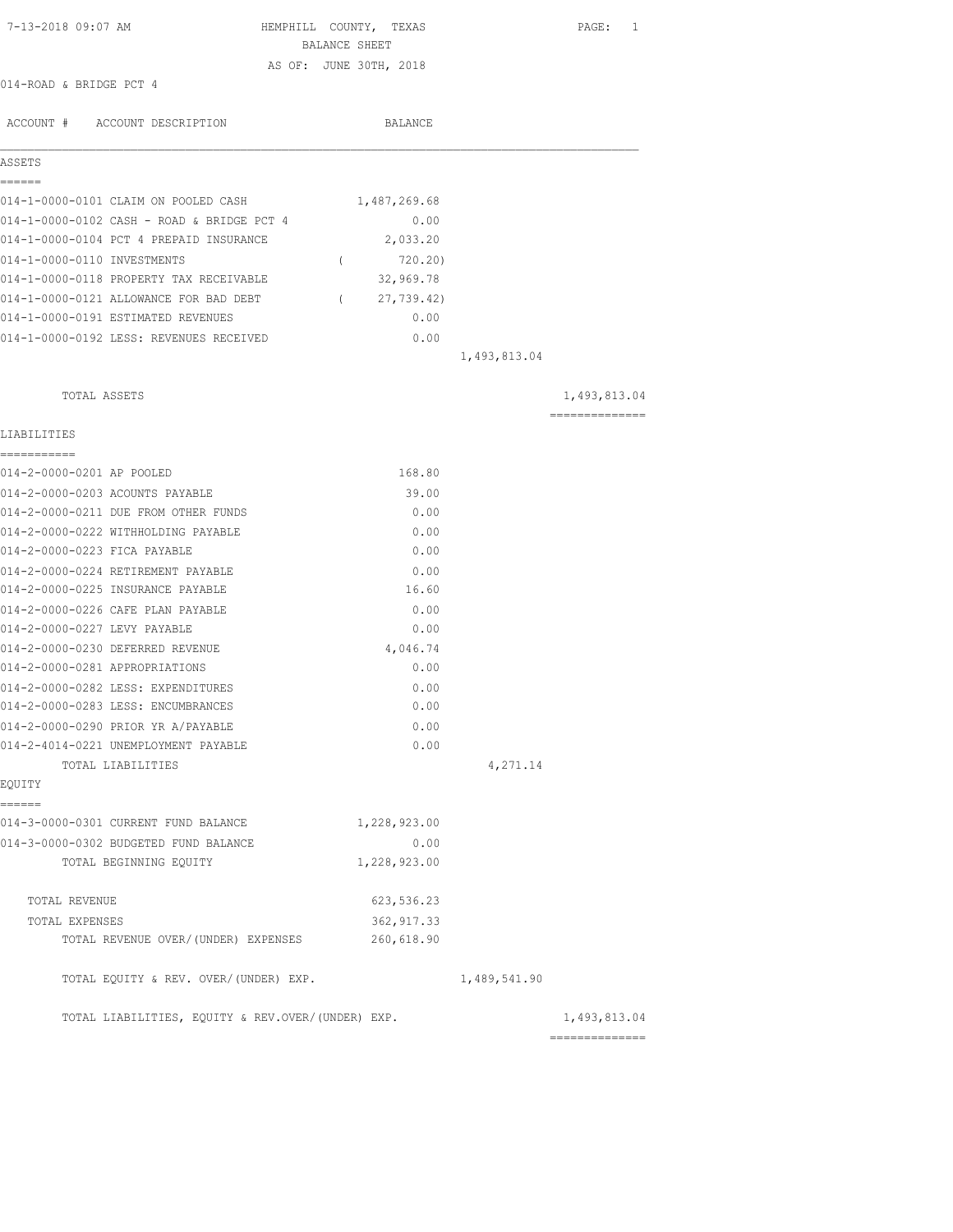| 7-13-2018 09:07 AM                                | HEMPHILL COUNTY, TEXAS<br>BALANCE SHEET |              | PAGE: 1        |
|---------------------------------------------------|-----------------------------------------|--------------|----------------|
|                                                   | AS OF: JUNE 30TH, 2018                  |              |                |
| 014-ROAD & BRIDGE PCT 4                           |                                         |              |                |
| ACCOUNT # ACCOUNT DESCRIPTION                     | BALANCE                                 |              |                |
| ASSETS                                            |                                         |              |                |
| ======                                            |                                         |              |                |
| 014-1-0000-0101 CLAIM ON POOLED CASH              | 1,487,269.68                            |              |                |
| 014-1-0000-0102 CASH - ROAD & BRIDGE PCT 4        | 0.00                                    |              |                |
| 014-1-0000-0104 PCT 4 PREPAID INSURANCE           | 2,033.20                                |              |                |
| 014-1-0000-0110 INVESTMENTS                       | 720.20)<br>$\sqrt{2}$                   |              |                |
| 014-1-0000-0118 PROPERTY TAX RECEIVABLE           | 32,969.78                               |              |                |
| 014-1-0000-0121 ALLOWANCE FOR BAD DEBT            | (27, 739.42)                            |              |                |
| 014-1-0000-0191 ESTIMATED REVENUES                | 0.00                                    |              |                |
| 014-1-0000-0192 LESS: REVENUES RECEIVED           | 0.00                                    |              |                |
|                                                   |                                         | 1,493,813.04 |                |
| TOTAL ASSETS                                      |                                         |              | 1,493,813.04   |
| LIABILITIES                                       |                                         |              | -------------- |
| ===========<br>014-2-0000-0201 AP POOLED          | 168.80                                  |              |                |
| 014-2-0000-0203 ACOUNTS PAYABLE                   | 39.00                                   |              |                |
| 014-2-0000-0211 DUE FROM OTHER FUNDS              | 0.00                                    |              |                |
| 014-2-0000-0222 WITHHOLDING PAYABLE               | 0.00                                    |              |                |
| 014-2-0000-0223 FICA PAYABLE                      | 0.00                                    |              |                |
| 014-2-0000-0224 RETIREMENT PAYABLE                | 0.00                                    |              |                |
| 014-2-0000-0225 INSURANCE PAYABLE                 | 16.60                                   |              |                |
| 014-2-0000-0226 CAFE PLAN PAYABLE                 | 0.00                                    |              |                |
| 014-2-0000-0227 LEVY PAYABLE                      | 0.00                                    |              |                |
| 014-2-0000-0230 DEFERRED REVENUE                  | 4,046.74                                |              |                |
| 014-2-0000-0281 APPROPRIATIONS                    | 0.00                                    |              |                |
| 014-2-0000-0282 LESS: EXPENDITURES                | 0.00                                    |              |                |
| 014-2-0000-0283 LESS: ENCUMBRANCES                | 0.00                                    |              |                |
| 014-2-0000-0290 PRIOR YR A/PAYABLE                | 0.00                                    |              |                |
| 014-2-4014-0221 UNEMPLOYMENT PAYABLE              | 0.00                                    |              |                |
| TOTAL LIABILITIES                                 |                                         | 4,271.14     |                |
| EQUITY                                            |                                         |              |                |
| ======<br>014-3-0000-0301 CURRENT FUND BALANCE    | 1,228,923.00                            |              |                |
| 014-3-0000-0302 BUDGETED FUND BALANCE             | 0.00                                    |              |                |
| TOTAL BEGINNING EOUITY                            | 1,228,923.00                            |              |                |
| TOTAL REVENUE                                     | 623, 536.23                             |              |                |
| TOTAL EXPENSES                                    | 362, 917.33                             |              |                |
| TOTAL REVENUE OVER/(UNDER) EXPENSES               | 260,618.90                              |              |                |
| TOTAL EQUITY & REV. OVER/(UNDER) EXP.             |                                         | 1,489,541.90 |                |
| TOTAL LIABILITIES, EQUITY & REV.OVER/(UNDER) EXP. |                                         |              | 1,493,813.04   |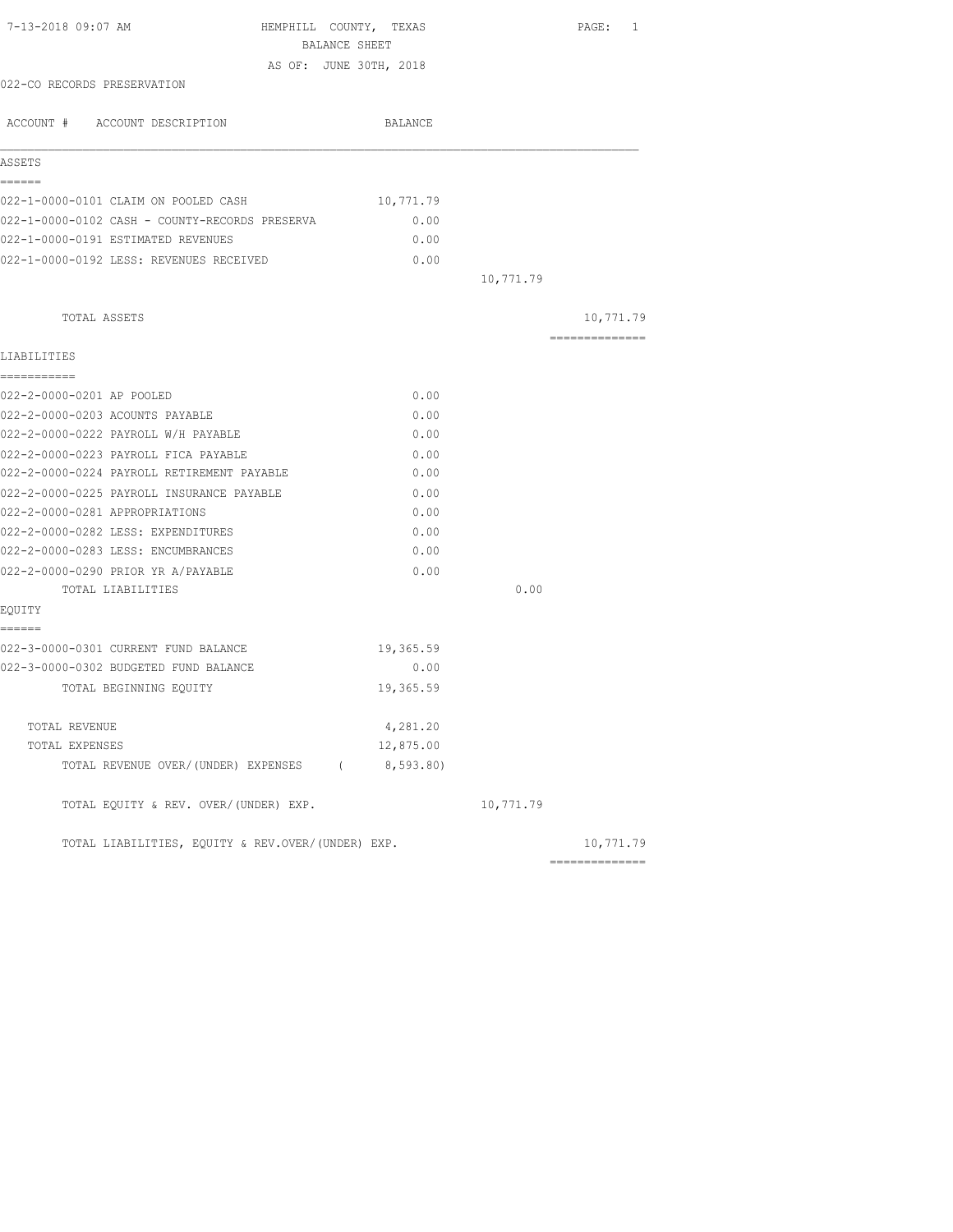| 7-13-2018 09:07 AM<br>HEMPHILL COUNTY, TEXAS          |           |           | PAGE: 1        |
|-------------------------------------------------------|-----------|-----------|----------------|
| BALANCE SHEET                                         |           |           |                |
| AS OF: JUNE 30TH, 2018<br>022-CO RECORDS PRESERVATION |           |           |                |
|                                                       |           |           |                |
| ACCOUNT # ACCOUNT DESCRIPTION                         | BALANCE   |           |                |
| ASSETS                                                |           |           |                |
| ------                                                |           |           |                |
| 022-1-0000-0101 CLAIM ON POOLED CASH                  | 10,771.79 |           |                |
| 022-1-0000-0102 CASH - COUNTY-RECORDS PRESERVA        | 0.00      |           |                |
| 022-1-0000-0191 ESTIMATED REVENUES                    | 0.00      |           |                |
| 022-1-0000-0192 LESS: REVENUES RECEIVED               | 0.00      |           |                |
|                                                       |           | 10,771.79 |                |
| TOTAL ASSETS                                          |           |           | 10,771.79      |
| LIABILITIES                                           |           |           | ============== |
| ===========                                           |           |           |                |
| 022-2-0000-0201 AP POOLED                             | 0.00      |           |                |
| 022-2-0000-0203 ACOUNTS PAYABLE                       | 0.00      |           |                |
| 022-2-0000-0222 PAYROLL W/H PAYABLE                   | 0.00      |           |                |
| 022-2-0000-0223 PAYROLL FICA PAYABLE                  | 0.00      |           |                |
| 022-2-0000-0224 PAYROLL RETIREMENT PAYABLE            | 0.00      |           |                |
| 022-2-0000-0225 PAYROLL INSURANCE PAYABLE             | 0.00      |           |                |
| 022-2-0000-0281 APPROPRIATIONS                        | 0.00      |           |                |
| 022-2-0000-0282 LESS: EXPENDITURES                    | 0.00      |           |                |
| 022-2-0000-0283 LESS: ENCUMBRANCES                    | 0.00      |           |                |
| 022-2-0000-0290 PRIOR YR A/PAYABLE                    | 0.00      |           |                |
| TOTAL LIABILITIES                                     |           | 0.00      |                |
| EQUITY<br>======                                      |           |           |                |
| 022-3-0000-0301 CURRENT FUND BALANCE                  | 19,365.59 |           |                |
| 022-3-0000-0302 BUDGETED FUND BALANCE                 | 0.00      |           |                |
| TOTAL BEGINNING EQUITY                                | 19,365.59 |           |                |
| TOTAL REVENUE                                         | 4,281.20  |           |                |
| TOTAL EXPENSES                                        | 12,875.00 |           |                |
| TOTAL REVENUE OVER/(UNDER) EXPENSES (8,593.80)        |           |           |                |
| TOTAL EQUITY & REV. OVER/(UNDER) EXP.                 |           | 10,771.79 |                |
| TOTAL LIABILITIES, EQUITY & REV.OVER/(UNDER) EXP.     |           |           | 10,771.79      |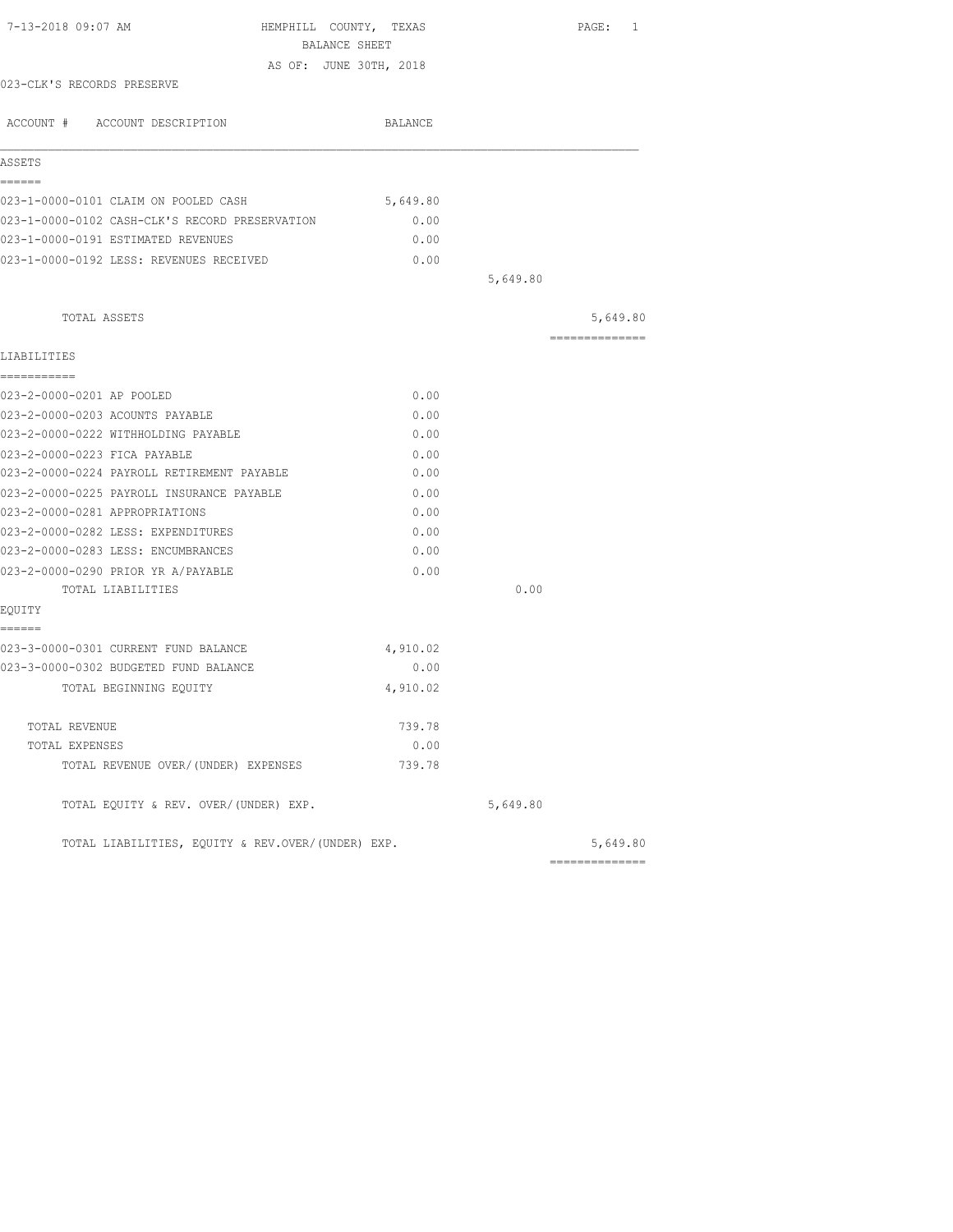| 7-13-2018 09:07 AM                                                            | HEMPHILL COUNTY, TEXAS |          | PAGE: 1        |
|-------------------------------------------------------------------------------|------------------------|----------|----------------|
|                                                                               | BALANCE SHEET          |          |                |
|                                                                               | AS OF: JUNE 30TH, 2018 |          |                |
| 023-CLK'S RECORDS PRESERVE                                                    |                        |          |                |
| ACCOUNT # ACCOUNT DESCRIPTION                                                 | BALANCE                |          |                |
| ASSETS                                                                        |                        |          |                |
| ------                                                                        |                        |          |                |
| 023-1-0000-0101 CLAIM ON POOLED CASH                                          | 5,649.80               |          |                |
| 023-1-0000-0102 CASH-CLK'S RECORD PRESERVATION                                | 0.00                   |          |                |
| 023-1-0000-0191 ESTIMATED REVENUES                                            | 0.00                   |          |                |
| 023-1-0000-0192 LESS: REVENUES RECEIVED                                       | 0.00                   |          |                |
|                                                                               |                        | 5,649.80 |                |
| TOTAL ASSETS                                                                  |                        |          | 5,649.80       |
| LIABILITIES                                                                   |                        |          | ============== |
| ===========                                                                   |                        |          |                |
| 023-2-0000-0201 AP POOLED                                                     | 0.00                   |          |                |
| 023-2-0000-0203 ACOUNTS PAYABLE                                               | 0.00                   |          |                |
| 023-2-0000-0222 WITHHOLDING PAYABLE                                           | 0.00                   |          |                |
| 023-2-0000-0223 FICA PAYABLE                                                  | 0.00                   |          |                |
| 023-2-0000-0224 PAYROLL RETIREMENT PAYABLE                                    | 0.00                   |          |                |
| 023-2-0000-0225 PAYROLL INSURANCE PAYABLE                                     | 0.00                   |          |                |
| 023-2-0000-0281 APPROPRIATIONS                                                | 0.00                   |          |                |
| 023-2-0000-0282 LESS: EXPENDITURES                                            | 0.00                   |          |                |
| 023-2-0000-0283 LESS: ENCUMBRANCES                                            | 0.00                   |          |                |
| 023-2-0000-0290 PRIOR YR A/PAYABLE                                            | 0.00                   |          |                |
| TOTAL LIABILITIES                                                             |                        | 0.00     |                |
| EQUITY                                                                        |                        |          |                |
| ======                                                                        |                        |          |                |
| 023-3-0000-0301 CURRENT FUND BALANCE<br>023-3-0000-0302 BUDGETED FUND BALANCE | 4,910.02<br>0.00       |          |                |
|                                                                               | 4,910.02               |          |                |
| TOTAL BEGINNING EQUITY                                                        |                        |          |                |
| TOTAL REVENUE                                                                 | 739.78                 |          |                |
| TOTAL EXPENSES                                                                | 0.00                   |          |                |
| TOTAL REVENUE OVER/(UNDER) EXPENSES                                           | 739.78                 |          |                |
| TOTAL EQUITY & REV. OVER/(UNDER) EXP.                                         |                        | 5,649.80 |                |
| TOTAL LIABILITIES, EQUITY & REV.OVER/(UNDER) EXP.                             |                        |          | 5,649.80       |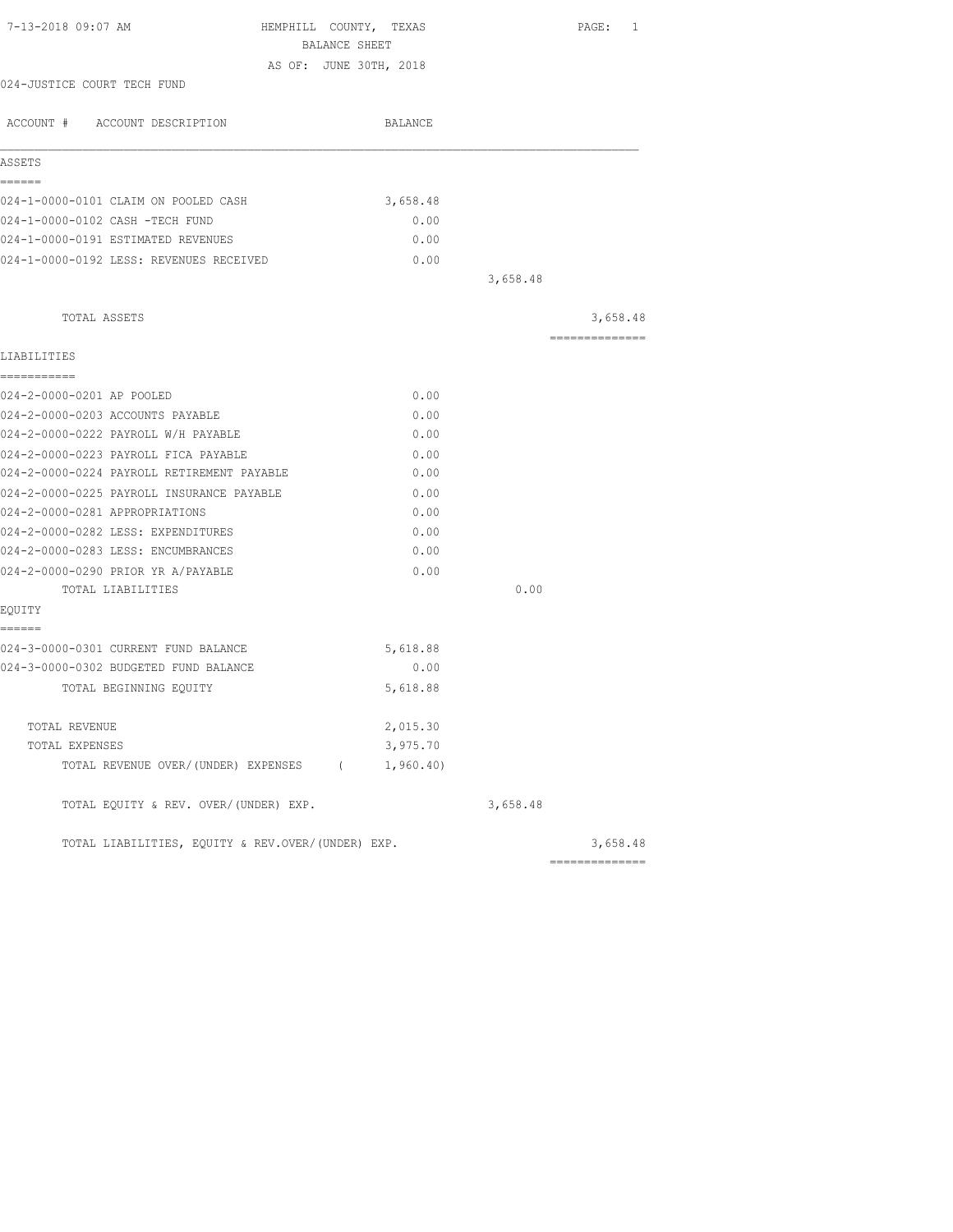| 7-13-2018 09:07 AM<br>HEMPHILL COUNTY, TEXAS      |          |          | PAGE: 1        |
|---------------------------------------------------|----------|----------|----------------|
| BALANCE SHEET<br>AS OF: JUNE 30TH, 2018           |          |          |                |
| 024-JUSTICE COURT TECH FUND                       |          |          |                |
|                                                   |          |          |                |
| ACCOUNT # ACCOUNT DESCRIPTION                     | BALANCE  |          |                |
| ASSETS                                            |          |          |                |
| ======                                            |          |          |                |
| 024-1-0000-0101 CLAIM ON POOLED CASH              | 3,658.48 |          |                |
| 024-1-0000-0102 CASH -TECH FUND                   | 0.00     |          |                |
| 024-1-0000-0191 ESTIMATED REVENUES                | 0.00     |          |                |
| 024-1-0000-0192 LESS: REVENUES RECEIVED           | 0.00     |          |                |
|                                                   |          | 3,658.48 |                |
| TOTAL ASSETS                                      |          |          | 3,658.48       |
| LIABILITIES                                       |          |          | ============== |
| -----------                                       |          |          |                |
| 024-2-0000-0201 AP POOLED                         | 0.00     |          |                |
| 024-2-0000-0203 ACCOUNTS PAYABLE                  | 0.00     |          |                |
| 024-2-0000-0222 PAYROLL W/H PAYABLE               | 0.00     |          |                |
| 024-2-0000-0223 PAYROLL FICA PAYABLE              | 0.00     |          |                |
| 024-2-0000-0224 PAYROLL RETIREMENT PAYABLE        | 0.00     |          |                |
| 024-2-0000-0225 PAYROLL INSURANCE PAYABLE         | 0.00     |          |                |
| 024-2-0000-0281 APPROPRIATIONS                    | 0.00     |          |                |
| 024-2-0000-0282 LESS: EXPENDITURES                | 0.00     |          |                |
| 024-2-0000-0283 LESS: ENCUMBRANCES                | 0.00     |          |                |
| 024-2-0000-0290 PRIOR YR A/PAYABLE                | 0.00     |          |                |
| TOTAL LIABILITIES                                 |          | 0.00     |                |
| EQUITY                                            |          |          |                |
| ======                                            |          |          |                |
| 024-3-0000-0301 CURRENT FUND BALANCE              | 5,618.88 |          |                |
| 024-3-0000-0302 BUDGETED FUND BALANCE             | 0.00     |          |                |
| TOTAL BEGINNING EQUITY                            | 5,618.88 |          |                |
| TOTAL REVENUE                                     | 2,015.30 |          |                |
| TOTAL EXPENSES                                    | 3,975.70 |          |                |
| TOTAL REVENUE OVER/(UNDER) EXPENSES (1,960.40)    |          |          |                |
| TOTAL EQUITY & REV. OVER/(UNDER) EXP.             |          | 3,658.48 |                |
| TOTAL LIABILITIES, EQUITY & REV.OVER/(UNDER) EXP. |          |          | 3,658.48       |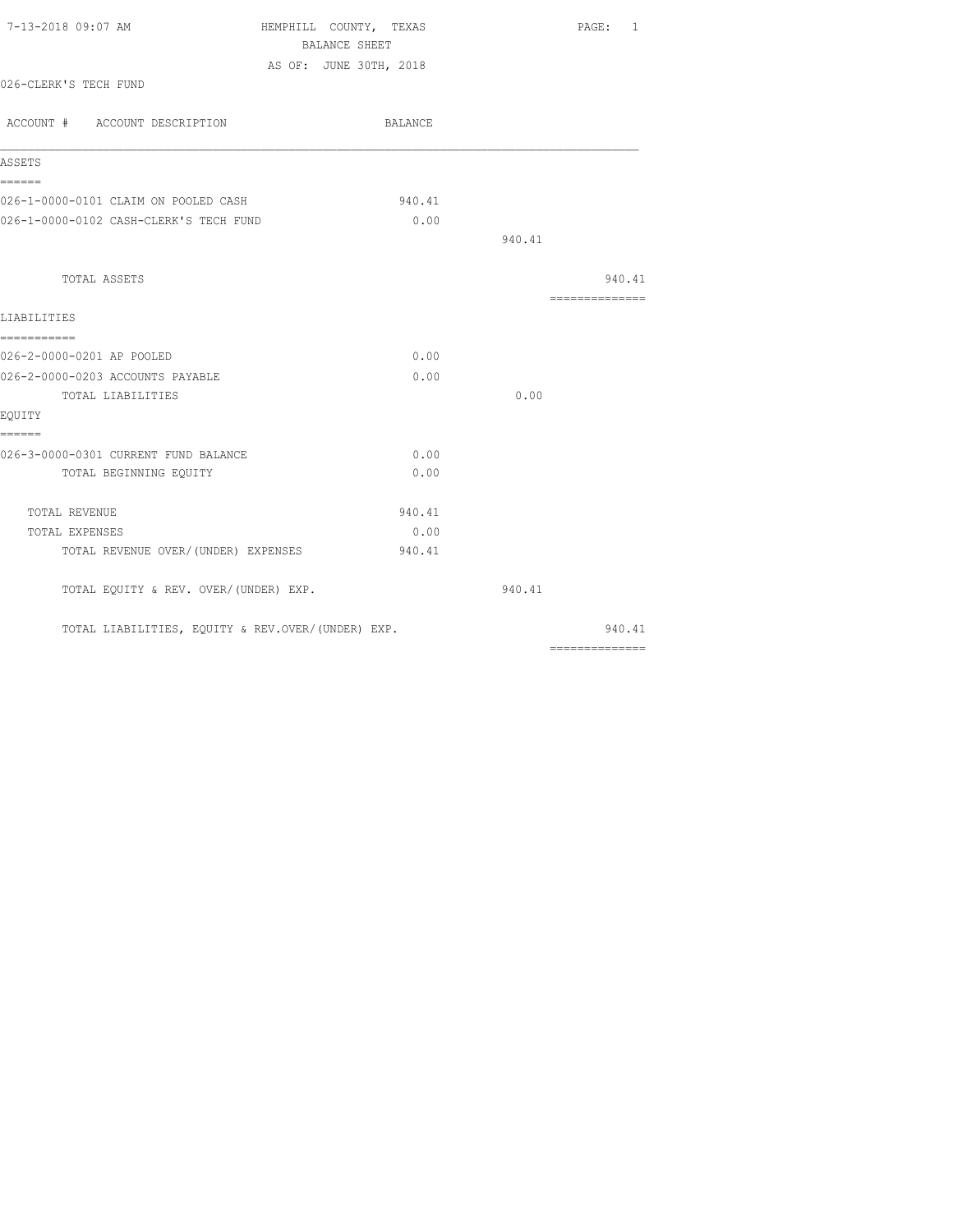| 7-13-2018 09:07 AM                                | HEMPHILL COUNTY, TEXAS |                | PAGE: 1 |
|---------------------------------------------------|------------------------|----------------|---------|
|                                                   | BALANCE SHEET          |                |         |
| 026-CLERK'S TECH FUND                             | AS OF: JUNE 30TH, 2018 |                |         |
| ACCOUNT # ACCOUNT DESCRIPTION                     | BALANCE                |                |         |
| ASSETS                                            |                        |                |         |
| ======<br>026-1-0000-0101 CLAIM ON POOLED CASH    | 940.41                 |                |         |
| 026-1-0000-0102 CASH-CLERK'S TECH FUND            | 0.00                   |                |         |
|                                                   |                        | 940.41         |         |
| TOTAL ASSETS                                      |                        |                | 940.41  |
| LIABILITIES                                       |                        | ============== |         |
| ------------<br>026-2-0000-0201 AP POOLED         | 0.00                   |                |         |
| 026-2-0000-0203 ACCOUNTS PAYABLE                  | 0.00                   |                |         |
| TOTAL LIABILITIES                                 |                        | 0.00           |         |
| EQUITY                                            |                        |                |         |
| ======                                            |                        |                |         |
| 026-3-0000-0301 CURRENT FUND BALANCE              | 0.00                   |                |         |
| TOTAL BEGINNING EOUITY                            | 0.00                   |                |         |
| TOTAL REVENUE                                     | 940.41                 |                |         |
| TOTAL EXPENSES                                    | 0.00                   |                |         |
| TOTAL REVENUE OVER/(UNDER) EXPENSES               | 940.41                 |                |         |
| TOTAL EQUITY & REV. OVER/(UNDER) EXP.             |                        | 940.41         |         |
| TOTAL LIABILITIES, EQUITY & REV.OVER/(UNDER) EXP. |                        |                | 940.41  |
|                                                   |                        | -------------- |         |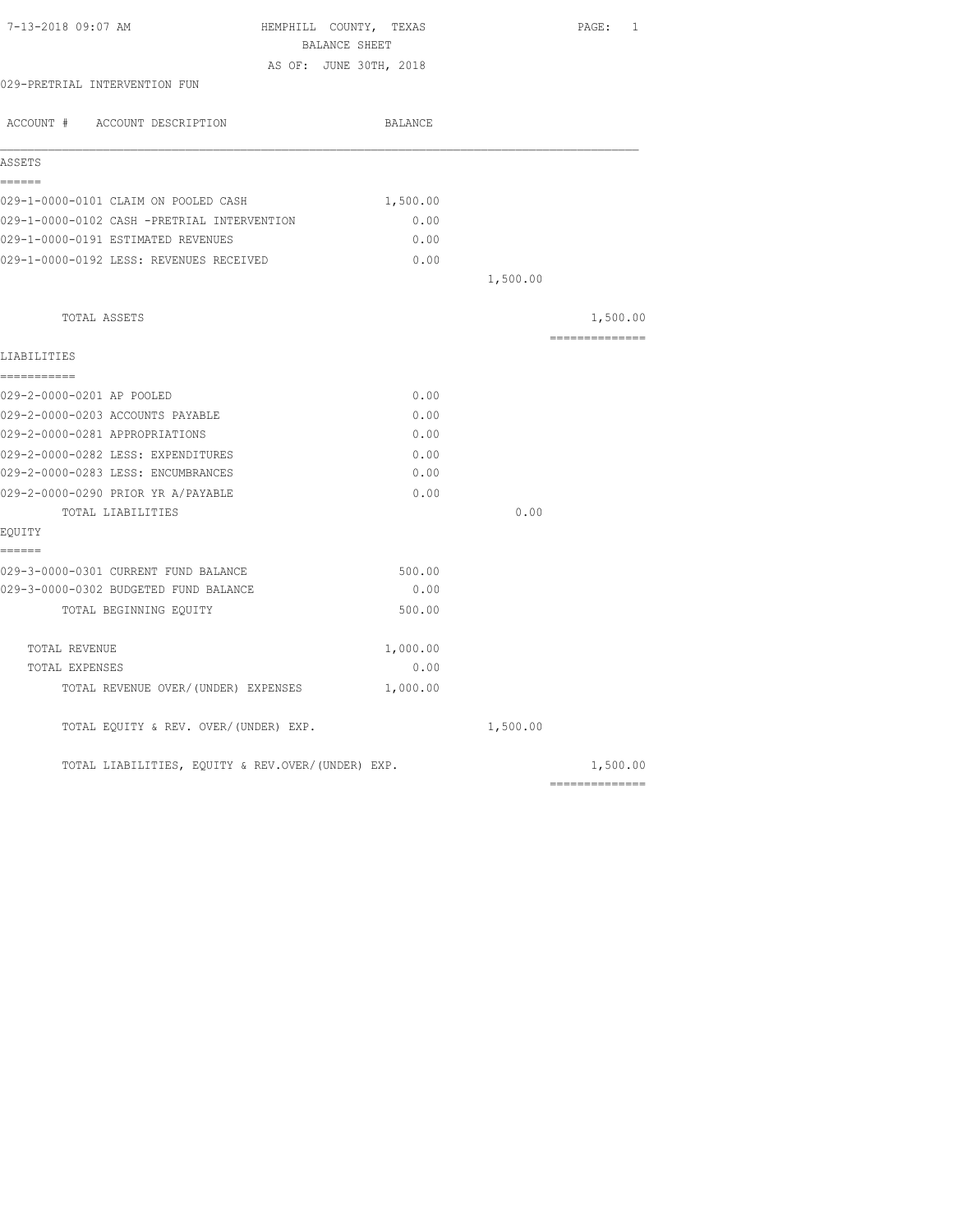| 7-13-2018 09:07 AM                                | HEMPHILL COUNTY, TEXAS |          | PAGE: 1        |
|---------------------------------------------------|------------------------|----------|----------------|
|                                                   | BALANCE SHEET          |          |                |
|                                                   | AS OF: JUNE 30TH, 2018 |          |                |
| 029-PRETRIAL INTERVENTION FUN                     |                        |          |                |
| ACCOUNT # ACCOUNT DESCRIPTION                     | BALANCE                |          |                |
| ASSETS                                            |                        |          |                |
| ======                                            |                        |          |                |
| 029-1-0000-0101 CLAIM ON POOLED CASH              | 1,500.00               |          |                |
| 029-1-0000-0102 CASH -PRETRIAL INTERVENTION       | 0.00                   |          |                |
| 029-1-0000-0191 ESTIMATED REVENUES                | 0.00                   |          |                |
| 029-1-0000-0192 LESS: REVENUES RECEIVED           | 0.00                   |          |                |
|                                                   |                        | 1,500.00 |                |
| TOTAL ASSETS                                      |                        |          | 1,500.00       |
| LIABILITIES                                       |                        |          | ============== |
| ===========                                       |                        |          |                |
| 029-2-0000-0201 AP POOLED                         | 0.00                   |          |                |
| 029-2-0000-0203 ACCOUNTS PAYABLE                  | 0.00                   |          |                |
| 029-2-0000-0281 APPROPRIATIONS                    | 0.00                   |          |                |
| 029-2-0000-0282 LESS: EXPENDITURES                | 0.00                   |          |                |
| 029-2-0000-0283 LESS: ENCUMBRANCES                | 0.00                   |          |                |
| 029-2-0000-0290 PRIOR YR A/PAYABLE                | 0.00                   |          |                |
| TOTAL LIABILITIES                                 |                        | 0.00     |                |
| EQUITY                                            |                        |          |                |
| ======                                            |                        |          |                |
| 029-3-0000-0301 CURRENT FUND BALANCE              | 500.00                 |          |                |
| 029-3-0000-0302 BUDGETED FUND BALANCE             | 0.00                   |          |                |
| TOTAL BEGINNING EQUITY                            | 500.00                 |          |                |
| TOTAL REVENUE                                     | 1,000.00               |          |                |
| TOTAL EXPENSES                                    | 0.00                   |          |                |
| TOTAL REVENUE OVER/(UNDER) EXPENSES               | 1,000.00               |          |                |
| TOTAL EQUITY & REV. OVER/(UNDER) EXP.             |                        | 1,500.00 |                |
| TOTAL LIABILITIES, EQUITY & REV.OVER/(UNDER) EXP. |                        |          | 1,500.00       |
|                                                   |                        |          | ============== |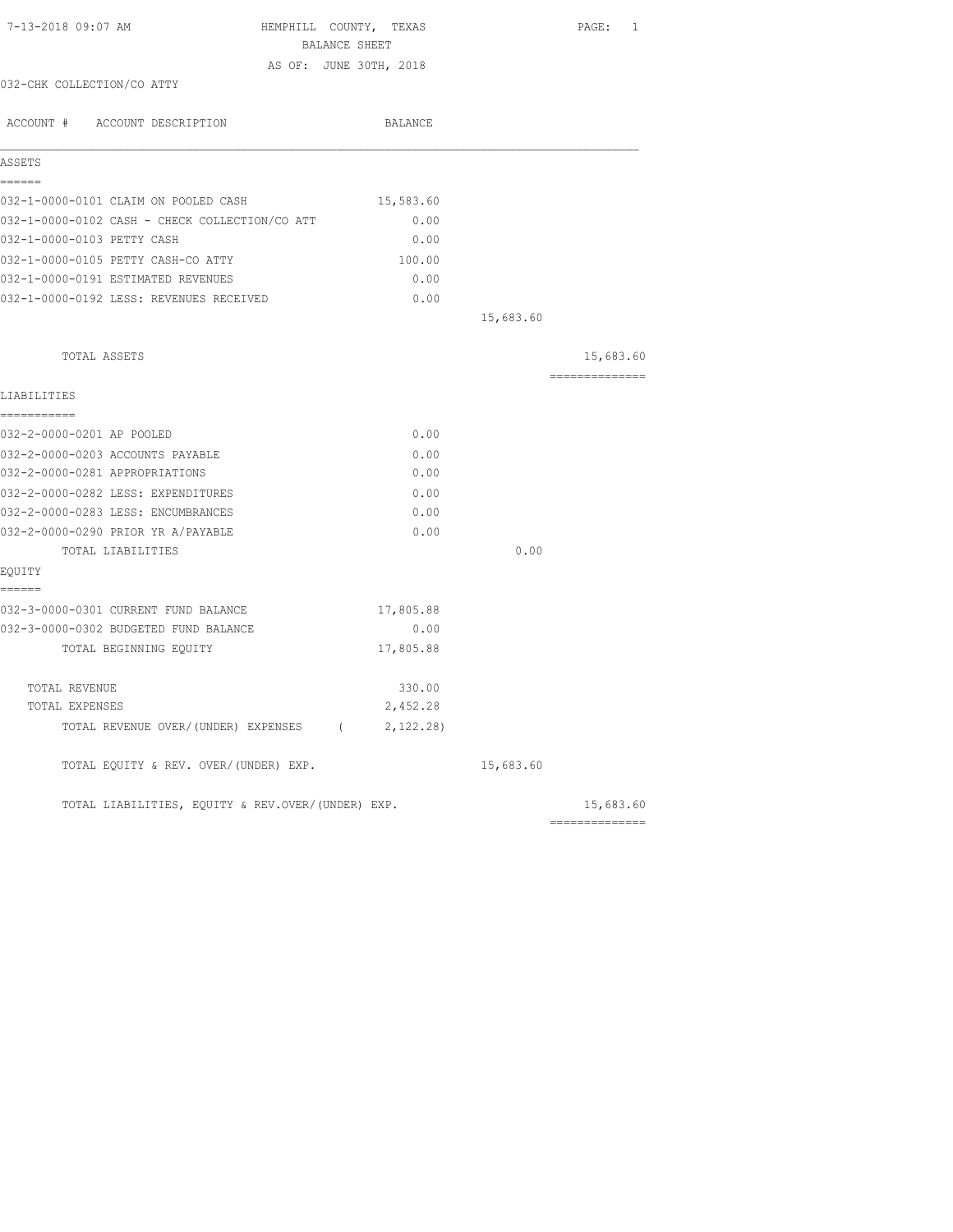| 7-13-2018 09:07 AM                                | HEMPHILL COUNTY, TEXAS<br>BALANCE SHEET |           | PAGE: 1        |
|---------------------------------------------------|-----------------------------------------|-----------|----------------|
|                                                   | AS OF: JUNE 30TH, 2018                  |           |                |
| 032-CHK COLLECTION/CO ATTY                        |                                         |           |                |
| ACCOUNT # ACCOUNT DESCRIPTION                     | BALANCE                                 |           |                |
| ASSETS                                            |                                         |           |                |
| ======<br>032-1-0000-0101 CLAIM ON POOLED CASH    | 15,583.60                               |           |                |
| 032-1-0000-0102 CASH - CHECK COLLECTION/CO ATT    | 0.00                                    |           |                |
| 032-1-0000-0103 PETTY CASH                        | 0.00                                    |           |                |
| 032-1-0000-0105 PETTY CASH-CO ATTY                | 100.00                                  |           |                |
| 032-1-0000-0191 ESTIMATED REVENUES                | 0.00                                    |           |                |
| 032-1-0000-0192 LESS: REVENUES RECEIVED           | 0.00                                    |           |                |
|                                                   |                                         | 15,683.60 |                |
| TOTAL ASSETS                                      |                                         |           | 15,683.60      |
|                                                   |                                         |           | ============== |
| LIABILITIES<br>===========                        |                                         |           |                |
| 032-2-0000-0201 AP POOLED                         | 0.00                                    |           |                |
| 032-2-0000-0203 ACCOUNTS PAYABLE                  | 0.00                                    |           |                |
| 032-2-0000-0281 APPROPRIATIONS                    | 0.00                                    |           |                |
| 032-2-0000-0282 LESS: EXPENDITURES                | 0.00                                    |           |                |
| 032-2-0000-0283 LESS: ENCUMBRANCES                | 0.00                                    |           |                |
| 032-2-0000-0290 PRIOR YR A/PAYABLE                | 0.00                                    |           |                |
| TOTAL LIABILITIES                                 |                                         | 0.00      |                |
| EQUITY<br>======                                  |                                         |           |                |
| 032-3-0000-0301 CURRENT FUND BALANCE              | 17,805.88                               |           |                |
| 032-3-0000-0302 BUDGETED FUND BALANCE             | 0.00                                    |           |                |
| TOTAL BEGINNING EQUITY                            | 17,805.88                               |           |                |
| TOTAL REVENUE                                     | 330.00                                  |           |                |
| TOTAL EXPENSES                                    | 2,452.28                                |           |                |
| TOTAL REVENUE OVER/(UNDER) EXPENSES (             | 2,122.28)                               |           |                |
| TOTAL EQUITY & REV. OVER/(UNDER) EXP.             |                                         | 15,683.60 |                |
| TOTAL LIABILITIES, EQUITY & REV.OVER/(UNDER) EXP. |                                         |           | 15,683.60      |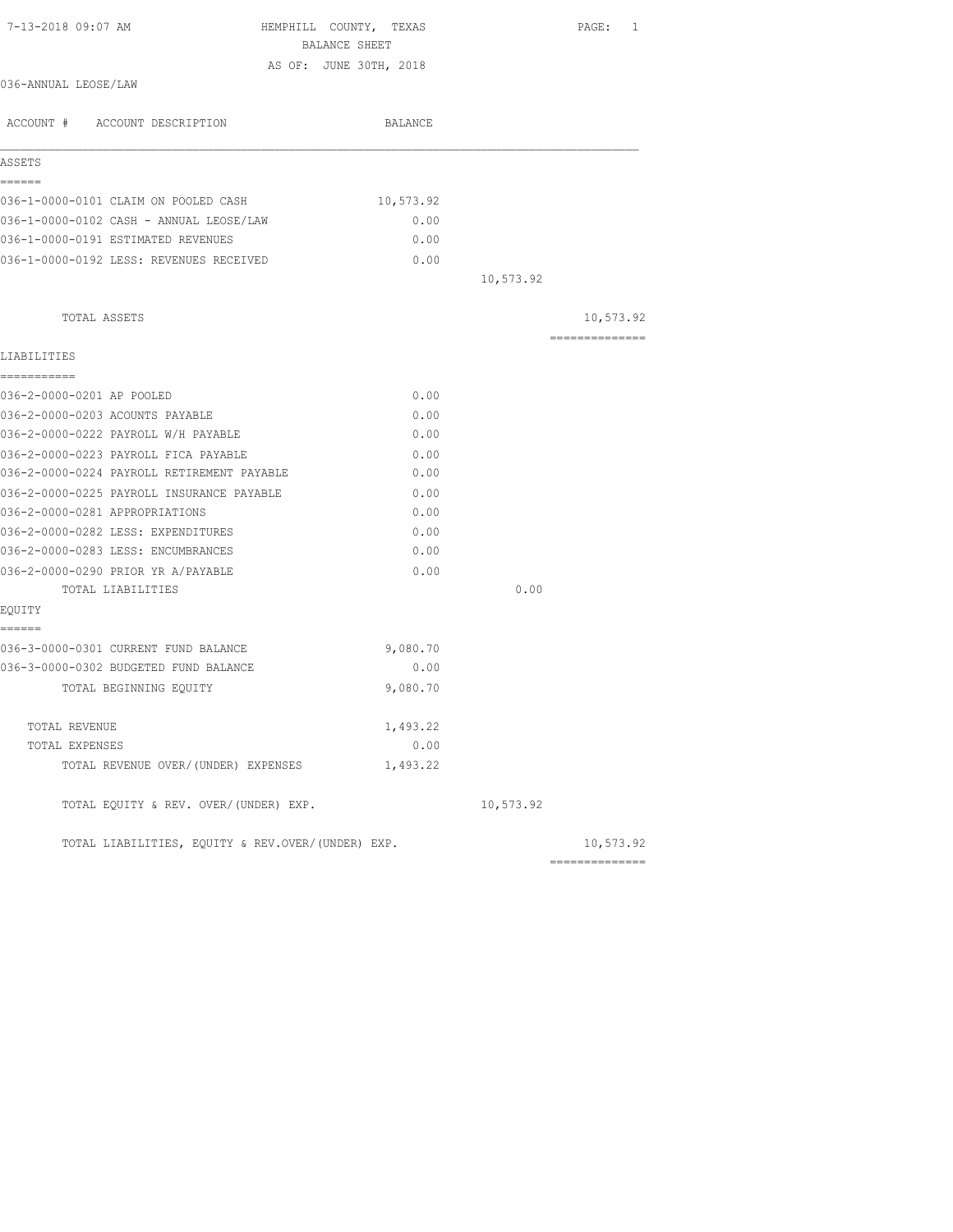| 7-13-2018 09:07 AM<br>HEMPHILL COUNTY, TEXAS<br>BALANCE SHEET |           |           | $\texttt{PAGE}$ :<br>1 |
|---------------------------------------------------------------|-----------|-----------|------------------------|
| AS OF: JUNE 30TH, 2018                                        |           |           |                        |
| 036-ANNUAL LEOSE/LAW                                          |           |           |                        |
| ACCOUNT # ACCOUNT DESCRIPTION                                 | BALANCE   |           |                        |
| ASSETS                                                        |           |           |                        |
| ------                                                        |           |           |                        |
| 036-1-0000-0101 CLAIM ON POOLED CASH                          | 10,573.92 |           |                        |
| 036-1-0000-0102 CASH - ANNUAL LEOSE/LAW                       | 0.00      |           |                        |
| 036-1-0000-0191 ESTIMATED REVENUES                            | 0.00      |           |                        |
| 036-1-0000-0192 LESS: REVENUES RECEIVED                       | 0.00      |           |                        |
|                                                               |           | 10,573.92 |                        |
| TOTAL ASSETS                                                  |           |           | 10,573.92              |
|                                                               |           |           | ==============         |
| LIABILITIES                                                   |           |           |                        |
| ===========                                                   |           |           |                        |
| 036-2-0000-0201 AP POOLED                                     | 0.00      |           |                        |
| 036-2-0000-0203 ACOUNTS PAYABLE                               | 0.00      |           |                        |
| 036-2-0000-0222 PAYROLL W/H PAYABLE                           | 0.00      |           |                        |
| 036-2-0000-0223 PAYROLL FICA PAYABLE                          | 0.00      |           |                        |
| 036-2-0000-0224 PAYROLL RETIREMENT PAYABLE                    | 0.00      |           |                        |
| 036-2-0000-0225 PAYROLL INSURANCE PAYABLE                     | 0.00      |           |                        |
| 036-2-0000-0281 APPROPRIATIONS                                | 0.00      |           |                        |
| 036-2-0000-0282 LESS: EXPENDITURES                            | 0.00      |           |                        |
| 036-2-0000-0283 LESS: ENCUMBRANCES                            | 0.00      |           |                        |
| 036-2-0000-0290 PRIOR YR A/PAYABLE                            | 0.00      |           |                        |
| TOTAL LIABILITIES                                             |           | 0.00      |                        |
| EQUITY<br>------                                              |           |           |                        |
| 036-3-0000-0301 CURRENT FUND BALANCE                          | 9,080.70  |           |                        |
| 036-3-0000-0302 BUDGETED FUND BALANCE                         | 0.00      |           |                        |
| TOTAL BEGINNING EQUITY                                        | 9,080.70  |           |                        |
| TOTAL REVENUE                                                 | 1,493.22  |           |                        |
| TOTAL EXPENSES                                                | 0.00      |           |                        |
| TOTAL REVENUE OVER/(UNDER) EXPENSES                           | 1,493.22  |           |                        |
| TOTAL EQUITY & REV. OVER/(UNDER) EXP.                         |           | 10,573.92 |                        |
| TOTAL LIABILITIES, EQUITY & REV.OVER/(UNDER) EXP.             |           |           | 10,573.92              |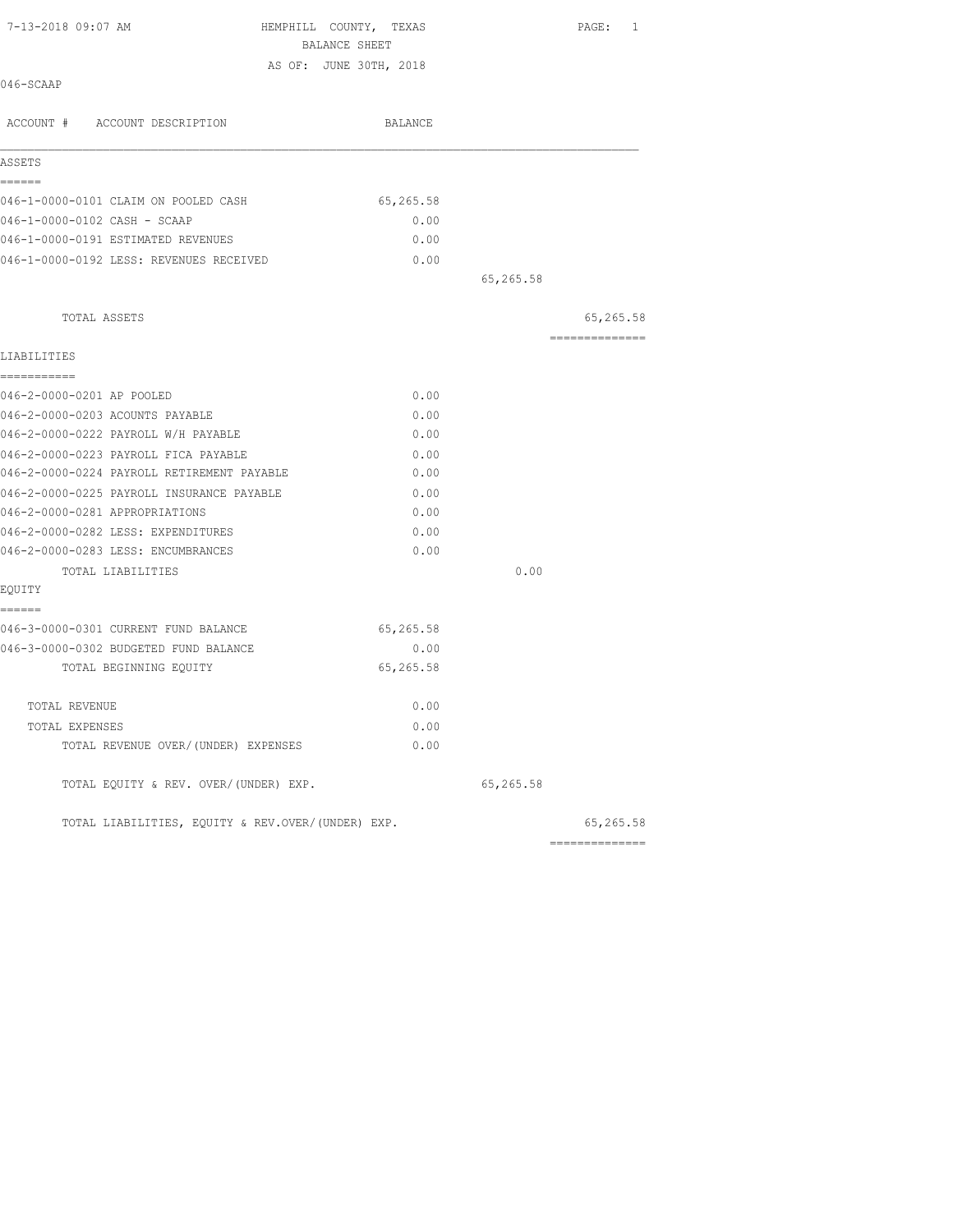| 7-13-2018 09:07 AM                                | HEMPHILL COUNTY, TEXAS<br>BALANCE SHEET |           | PAGE: 1         |
|---------------------------------------------------|-----------------------------------------|-----------|-----------------|
|                                                   | AS OF: JUNE 30TH, 2018                  |           |                 |
| 046-SCAAP                                         |                                         |           |                 |
| ACCOUNT # ACCOUNT DESCRIPTION                     | BALANCE                                 |           |                 |
| ASSETS                                            |                                         |           |                 |
| ======                                            |                                         |           |                 |
| 046-1-0000-0101 CLAIM ON POOLED CASH              | 65,265.58                               |           |                 |
| 046-1-0000-0102 CASH - SCAAP                      | 0.00                                    |           |                 |
| 046-1-0000-0191 ESTIMATED REVENUES                | 0.00                                    |           |                 |
| 046-1-0000-0192 LESS: REVENUES RECEIVED           | 0.00                                    |           |                 |
|                                                   |                                         | 65,265.58 |                 |
| TOTAL ASSETS                                      |                                         |           | 65,265.58       |
| LIABILITIES                                       |                                         |           | --------------  |
| -----------<br>046-2-0000-0201 AP POOLED          | 0.00                                    |           |                 |
| 046-2-0000-0203 ACOUNTS PAYABLE                   | 0.00                                    |           |                 |
| 046-2-0000-0222 PAYROLL W/H PAYABLE               | 0.00                                    |           |                 |
| 046-2-0000-0223 PAYROLL FICA PAYABLE              | 0.00                                    |           |                 |
| 046-2-0000-0224 PAYROLL RETIREMENT PAYABLE        | 0.00                                    |           |                 |
| 046-2-0000-0225 PAYROLL INSURANCE PAYABLE         | 0.00                                    |           |                 |
| 046-2-0000-0281 APPROPRIATIONS                    | 0.00                                    |           |                 |
| 046-2-0000-0282 LESS: EXPENDITURES                | 0.00                                    |           |                 |
| 046-2-0000-0283 LESS: ENCUMBRANCES                | 0.00                                    |           |                 |
| TOTAL LIABILITIES                                 |                                         | 0.00      |                 |
| EQUITY                                            |                                         |           |                 |
| ------                                            |                                         |           |                 |
| 046-3-0000-0301 CURRENT FUND BALANCE              | 65,265.58                               |           |                 |
| 046-3-0000-0302 BUDGETED FUND BALANCE             | 0.00                                    |           |                 |
| TOTAL BEGINNING EQUITY                            | 65,265.58                               |           |                 |
| TOTAL REVENUE                                     | 0.00                                    |           |                 |
| TOTAL EXPENSES                                    | 0.00                                    |           |                 |
| TOTAL REVENUE OVER/(UNDER) EXPENSES               | 0.00                                    |           |                 |
| TOTAL EQUITY & REV. OVER/(UNDER) EXP.             |                                         | 65,265.58 |                 |
| TOTAL LIABILITIES, EQUITY & REV.OVER/(UNDER) EXP. |                                         |           | 65,265.58       |
|                                                   |                                         |           | --------------- |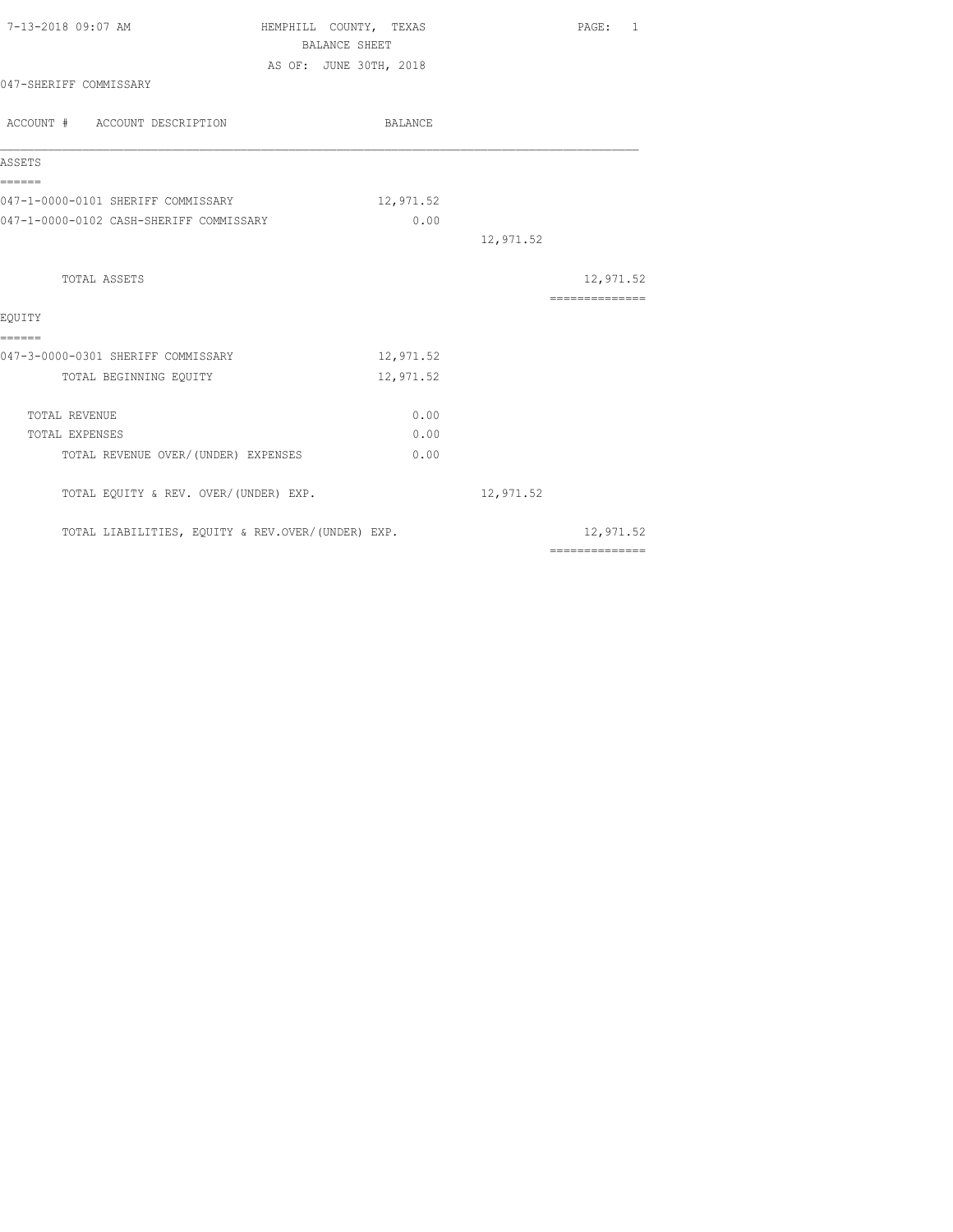| 7-13-2018 09:07 AM                                | HEMPHILL COUNTY, TEXAS | <b>BALANCE SHEET</b> |           | PAGE: 1                                                                                                                                                                                                                                                                                                                                                                                                                                                                                |
|---------------------------------------------------|------------------------|----------------------|-----------|----------------------------------------------------------------------------------------------------------------------------------------------------------------------------------------------------------------------------------------------------------------------------------------------------------------------------------------------------------------------------------------------------------------------------------------------------------------------------------------|
|                                                   | AS OF: JUNE 30TH, 2018 |                      |           |                                                                                                                                                                                                                                                                                                                                                                                                                                                                                        |
| 047-SHERIFF COMMISSARY                            |                        |                      |           |                                                                                                                                                                                                                                                                                                                                                                                                                                                                                        |
| ACCOUNT # ACCOUNT DESCRIPTION                     |                        | BALANCE              |           |                                                                                                                                                                                                                                                                                                                                                                                                                                                                                        |
| ASSETS                                            |                        |                      |           |                                                                                                                                                                                                                                                                                                                                                                                                                                                                                        |
| ======<br>047-1-0000-0101 SHERIFF COMMISSARY      |                        | 12,971.52            |           |                                                                                                                                                                                                                                                                                                                                                                                                                                                                                        |
| 047-1-0000-0102 CASH-SHERIFF COMMISSARY           |                        | 0.00                 |           |                                                                                                                                                                                                                                                                                                                                                                                                                                                                                        |
|                                                   |                        |                      | 12,971.52 |                                                                                                                                                                                                                                                                                                                                                                                                                                                                                        |
| TOTAL ASSETS                                      |                        |                      |           | 12,971.52                                                                                                                                                                                                                                                                                                                                                                                                                                                                              |
|                                                   |                        |                      |           | $\begin{array}{cccccccccc} \multicolumn{2}{c}{} & \multicolumn{2}{c}{} & \multicolumn{2}{c}{} & \multicolumn{2}{c}{} & \multicolumn{2}{c}{} & \multicolumn{2}{c}{} & \multicolumn{2}{c}{} & \multicolumn{2}{c}{} & \multicolumn{2}{c}{} & \multicolumn{2}{c}{} & \multicolumn{2}{c}{} & \multicolumn{2}{c}{} & \multicolumn{2}{c}{} & \multicolumn{2}{c}{} & \multicolumn{2}{c}{} & \multicolumn{2}{c}{} & \multicolumn{2}{c}{} & \multicolumn{2}{c}{} & \multicolumn{2}{c}{} & \mult$ |
| EOUITY                                            |                        |                      |           |                                                                                                                                                                                                                                                                                                                                                                                                                                                                                        |
| ======                                            |                        |                      |           |                                                                                                                                                                                                                                                                                                                                                                                                                                                                                        |
| 047-3-0000-0301 SHERIFF COMMISSARY                |                        | 12,971.52            |           |                                                                                                                                                                                                                                                                                                                                                                                                                                                                                        |
| TOTAL BEGINNING EQUITY                            |                        | 12,971.52            |           |                                                                                                                                                                                                                                                                                                                                                                                                                                                                                        |
| TOTAL REVENUE                                     |                        | 0.00                 |           |                                                                                                                                                                                                                                                                                                                                                                                                                                                                                        |
| TOTAL EXPENSES                                    |                        | 0.00                 |           |                                                                                                                                                                                                                                                                                                                                                                                                                                                                                        |
| TOTAL REVENUE OVER/(UNDER) EXPENSES               |                        | 0.00                 |           |                                                                                                                                                                                                                                                                                                                                                                                                                                                                                        |
| TOTAL EQUITY & REV. OVER/(UNDER) EXP.             |                        |                      | 12,971.52 |                                                                                                                                                                                                                                                                                                                                                                                                                                                                                        |
| TOTAL LIABILITIES, EQUITY & REV.OVER/(UNDER) EXP. |                        |                      |           | 12,971.52<br>==============                                                                                                                                                                                                                                                                                                                                                                                                                                                            |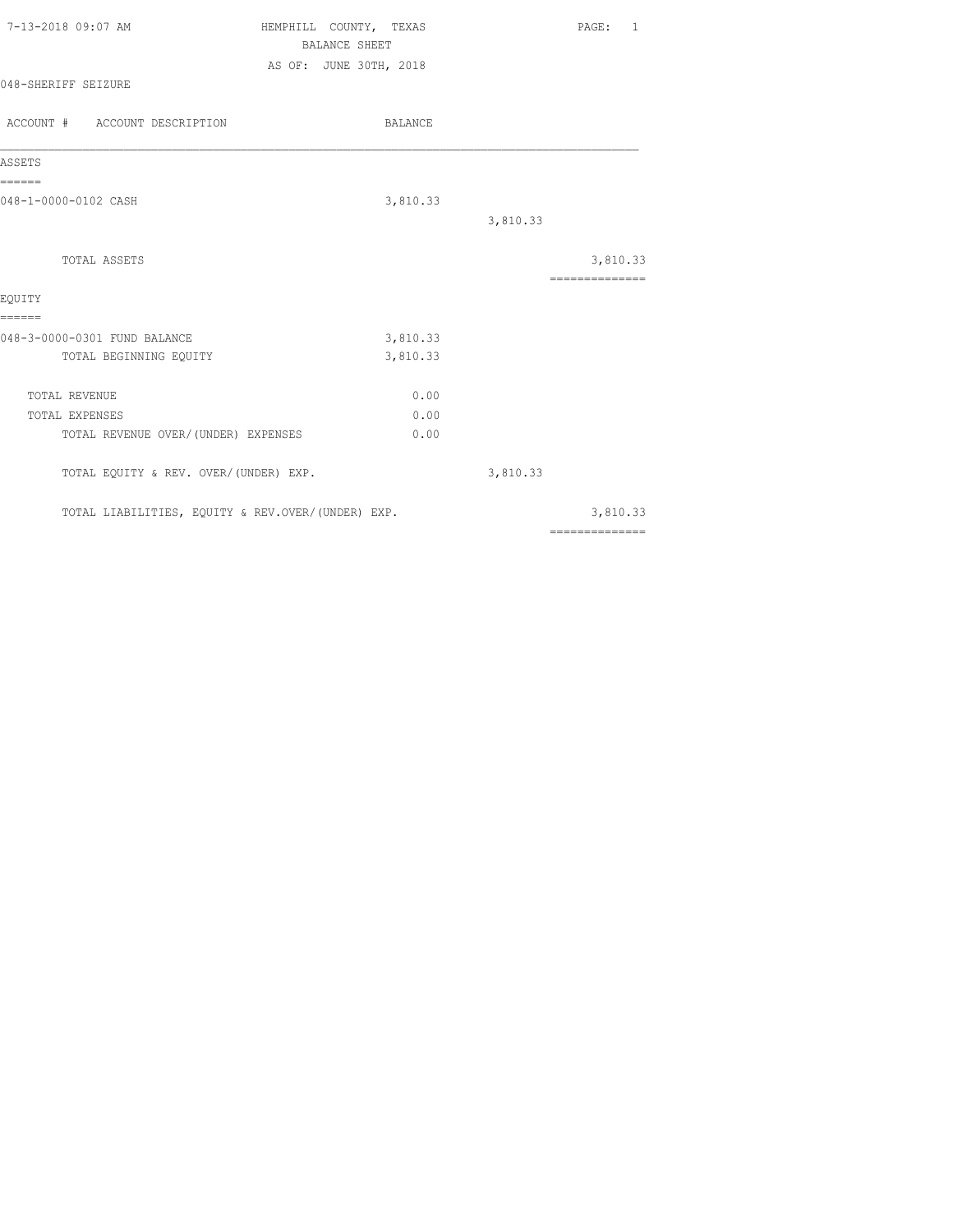| 7-13-2018 09:07 AM                                                      | HEMPHILL COUNTY, TEXAS<br><b>BALANCE SHEET</b> | PAGE: 1                                                                                                                                                                                                                                                                                                                                                                                                                                                                                |
|-------------------------------------------------------------------------|------------------------------------------------|----------------------------------------------------------------------------------------------------------------------------------------------------------------------------------------------------------------------------------------------------------------------------------------------------------------------------------------------------------------------------------------------------------------------------------------------------------------------------------------|
| 048-SHERIFF SEIZURE                                                     | AS OF: JUNE 30TH, 2018                         |                                                                                                                                                                                                                                                                                                                                                                                                                                                                                        |
| ACCOUNT # ACCOUNT DESCRIPTION                                           | BALANCE                                        |                                                                                                                                                                                                                                                                                                                                                                                                                                                                                        |
| ASSETS                                                                  |                                                |                                                                                                                                                                                                                                                                                                                                                                                                                                                                                        |
| ======<br>048-1-0000-0102 CASH                                          | 3,810.33                                       | 3,810.33                                                                                                                                                                                                                                                                                                                                                                                                                                                                               |
| TOTAL ASSETS                                                            |                                                | 3,810.33<br>---------------                                                                                                                                                                                                                                                                                                                                                                                                                                                            |
| EOUITY<br>======                                                        |                                                |                                                                                                                                                                                                                                                                                                                                                                                                                                                                                        |
| 048-3-0000-0301 FUND BALANCE<br>TOTAL BEGINNING EQUITY                  | 3,810.33<br>3,810.33                           |                                                                                                                                                                                                                                                                                                                                                                                                                                                                                        |
| TOTAL REVENUE<br>TOTAL EXPENSES<br>TOTAL REVENUE OVER/ (UNDER) EXPENSES | 0.00<br>0.00<br>0.00                           |                                                                                                                                                                                                                                                                                                                                                                                                                                                                                        |
| TOTAL EQUITY & REV. OVER/(UNDER) EXP.                                   |                                                | 3,810.33                                                                                                                                                                                                                                                                                                                                                                                                                                                                               |
| TOTAL LIABILITIES, EQUITY & REV.OVER/(UNDER) EXP.                       |                                                | 3,810.33                                                                                                                                                                                                                                                                                                                                                                                                                                                                               |
|                                                                         |                                                | $\begin{array}{cccccccccc} \multicolumn{2}{c}{} & \multicolumn{2}{c}{} & \multicolumn{2}{c}{} & \multicolumn{2}{c}{} & \multicolumn{2}{c}{} & \multicolumn{2}{c}{} & \multicolumn{2}{c}{} & \multicolumn{2}{c}{} & \multicolumn{2}{c}{} & \multicolumn{2}{c}{} & \multicolumn{2}{c}{} & \multicolumn{2}{c}{} & \multicolumn{2}{c}{} & \multicolumn{2}{c}{} & \multicolumn{2}{c}{} & \multicolumn{2}{c}{} & \multicolumn{2}{c}{} & \multicolumn{2}{c}{} & \multicolumn{2}{c}{} & \mult$ |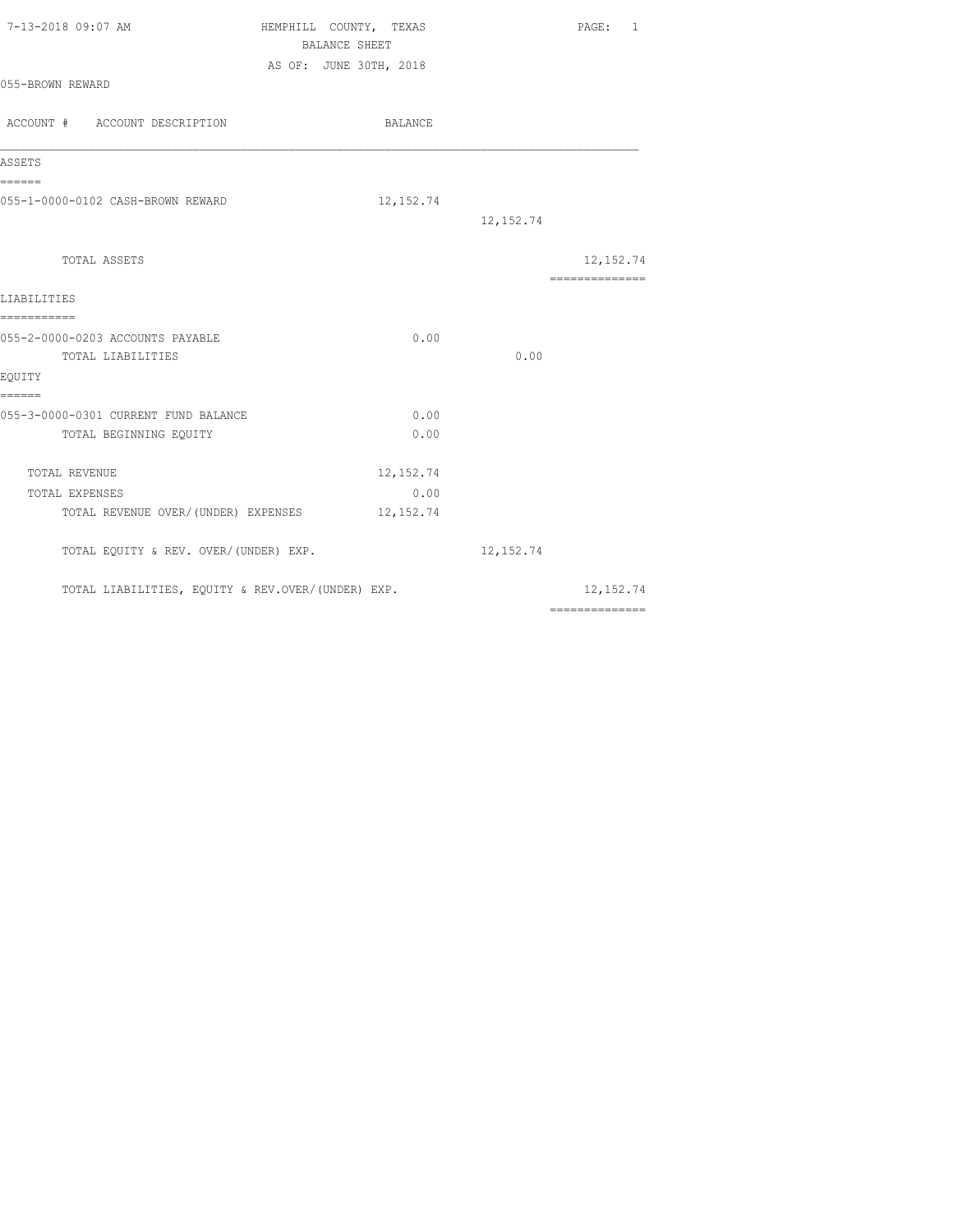| 7-13-2018 09:07 AM                                                               | HEMPHILL COUNTY, TEXAS<br>BALANCE SHEET<br>AS OF: JUNE 30TH, 2018 | PAGE: 1                      |
|----------------------------------------------------------------------------------|-------------------------------------------------------------------|------------------------------|
| 055-BROWN REWARD                                                                 |                                                                   |                              |
| ACCOUNT # ACCOUNT DESCRIPTION                                                    | BALANCE                                                           |                              |
| ASSETS                                                                           |                                                                   |                              |
| ======<br>055-1-0000-0102 CASH-BROWN REWARD                                      | 12, 152.74                                                        | 12, 152.74                   |
| TOTAL ASSETS                                                                     |                                                                   | 12, 152.74<br>-------------- |
| LIABILITIES                                                                      |                                                                   |                              |
| ===========<br>055-2-0000-0203 ACCOUNTS PAYABLE<br>TOTAL LIABILITIES<br>EOUITY   | 0.00                                                              | 0.00                         |
| ------<br>055-3-0000-0301 CURRENT FUND BALANCE<br>TOTAL BEGINNING EQUITY         | 0.00<br>0.00                                                      |                              |
| TOTAL REVENUE<br>TOTAL EXPENSES<br>TOTAL REVENUE OVER/(UNDER) EXPENSES 12,152.74 | 12, 152.74<br>0.00                                                |                              |
| TOTAL EQUITY & REV. OVER/(UNDER) EXP.                                            |                                                                   | 12, 152.74                   |
| TOTAL LIABILITIES, EQUITY & REV.OVER/(UNDER) EXP.                                |                                                                   | 12, 152.74                   |
|                                                                                  |                                                                   | ==============               |